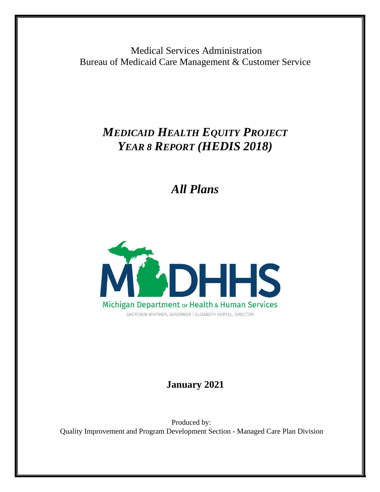Medical Services Administration Bureau of Medicaid Care Management & Customer Service

# *MEDICAID HEALTH EQUITY PROJECT YEAR 8 REPORT (HEDIS 2018)*

*All Plans*



## **January 2021**

Produced by: Quality Improvement and Program Development Section - Managed Care Plan Division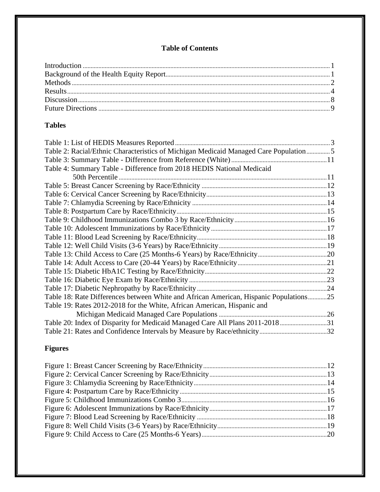## **Table of Contents**

## **Tables**

| Table 2: Racial/Ethnic Characteristics of Michigan Medicaid Managed Care Population  5 |  |
|----------------------------------------------------------------------------------------|--|
|                                                                                        |  |
| Table 4: Summary Table - Difference from 2018 HEDIS National Medicaid                  |  |
|                                                                                        |  |
|                                                                                        |  |
|                                                                                        |  |
|                                                                                        |  |
|                                                                                        |  |
|                                                                                        |  |
|                                                                                        |  |
|                                                                                        |  |
|                                                                                        |  |
|                                                                                        |  |
|                                                                                        |  |
|                                                                                        |  |
|                                                                                        |  |
|                                                                                        |  |
| Table 18: Rate Differences between White and African American, Hispanic Populations25  |  |
| Table 19: Rates 2012-2018 for the White, African American, Hispanic and                |  |
|                                                                                        |  |
| Table 20: Index of Disparity for Medicaid Managed Care All Plans 2011-201831           |  |
|                                                                                        |  |

## **Figures**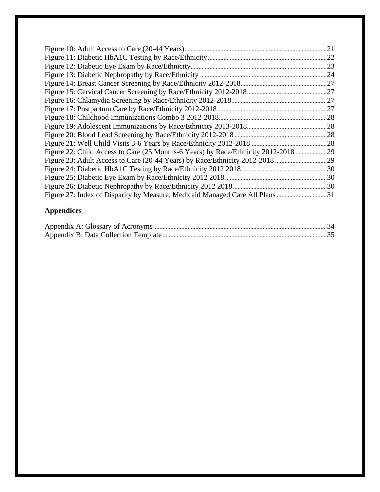|                                                                                 | .21 |
|---------------------------------------------------------------------------------|-----|
|                                                                                 |     |
|                                                                                 |     |
|                                                                                 |     |
|                                                                                 |     |
|                                                                                 |     |
|                                                                                 |     |
|                                                                                 |     |
|                                                                                 |     |
|                                                                                 |     |
|                                                                                 |     |
|                                                                                 |     |
| Figure 22: Child Access to Care (25 Months-6 Years) by Race/Ethnicity 2012-2018 |     |
|                                                                                 |     |
|                                                                                 |     |
|                                                                                 |     |
|                                                                                 |     |
| Figure 27: Index of Disparity by Measure, Medicaid Managed Care All Plans 31    |     |

## **Appendices**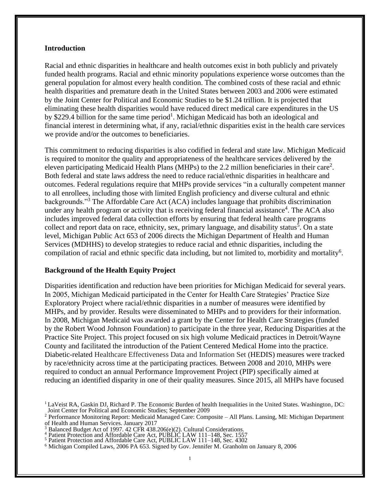#### <span id="page-3-0"></span>**Introduction**

Racial and ethnic disparities in healthcare and health outcomes exist in both publicly and privately funded health programs. Racial and ethnic minority populations experience worse outcomes than the general population for almost every health condition. The combined costs of these racial and ethnic health disparities and premature death in the United States between 2003 and 2006 were estimated by the Joint Center for Political and Economic Studies to be \$1.24 trillion. It is projected that eliminating these health disparities would have reduced direct medical care expenditures in the US by \$229.4 billion for the same time period<sup>[1](#page-3-0)</sup>. Michigan Medicaid has both an ideological and financial interest in determining what, if any, racial/ethnic disparities exist in the health care services we provide and/or the outcomes to beneficiaries.

This commitment to reducing disparities is also codified in federal and state law. Michigan Medicaid is required to monitor the quality and appropriateness of the healthcare services delivered by the eleven participating Medicaid Health Plans (MHPs) to the [2](#page-3-0).2 million beneficiaries in their care<sup>2</sup>. Both federal and state laws address the need to reduce racial/ethnic disparities in healthcare and outcomes. Federal regulations require that MHPs provide services "in a culturally competent manner to all enrollees, including those with limited English proficiency and diverse cultural and ethnic backgrounds."[3](#page-3-0) The Affordable Care Act (ACA) includes language that prohibits discrimination under any health program or activity that is receiving federal financial assistance<sup>[4](#page-3-0)</sup>. The ACA also includes improved federal data collection efforts by ensuring that federal health care programs collect and report data on race, ethnicity, sex, primary language, and disability status<sup>[5](#page-3-0)</sup>. On a state level, Michigan Public Act 653 of 2006 directs the Michigan Department of Health and Human Services (MDHHS) to develop strategies to reduce racial and ethnic disparities, including the compilation of racial and ethnic specific data including, but not limited to, morbidity and mortality<sup>[6](#page-3-0)</sup>.

#### **Background of the Health Equity Project**

Disparities identification and reduction have been priorities for Michigan Medicaid for several years. In 2005, Michigan Medicaid participated in the Center for Health Care Strategies' Practice Size Exploratory Project where racial/ethnic disparities in a number of measures were identified by MHPs, and by provider. Results were disseminated to MHPs and to providers for their information. In 2008, Michigan Medicaid was awarded a grant by the Center for Health Care Strategies (funded by the Robert Wood Johnson Foundation) to participate in the three year, Reducing Disparities at the Practice Site Project. This project focused on six high volume Medicaid practices in Detroit/Wayne County and facilitated the introduction of the Patient Centered Medical Home into the practice. Diabetic-related Healthcare Effectiveness Data and Information Set (HEDIS) measures were tracked by race/ethnicity across time at the participating practices. Between 2008 and 2010, MHPs were required to conduct an annual Performance Improvement Project (PIP) specifically aimed at reducing an identified disparity in one of their quality measures. Since 2015, all MHPs have focused

 $1$ LaVeist RA, Gaskin DJ, Richard P. The Economic Burden of health Inequalities in the United States. Washington, DC: Joint Center for Political and Economic Studies; September 2009

<sup>2</sup> Performance Monitoring Report: Medicaid Managed Care: Composite – All Plans. Lansing, MI: Michigan Department of Health and Human Services. January 2017

 $3 \text{ B}$  Balanced Budget Act of 1997. 42 CFR 438.206(e)(2). Cultural Considerations.

<sup>&</sup>lt;sup>4</sup> Patient Protection and Affordable Care Act, PUBLIC LAW 111–148, Sec. 1557

<sup>5</sup> Patient Protection and Affordable Care Act, PUBLIC LAW 111–148, Sec. 4302

<sup>6</sup> Michigan Compiled Laws, 2006 PA 653. Signed by Gov. Jennifer M. Granholm on January 8, 2006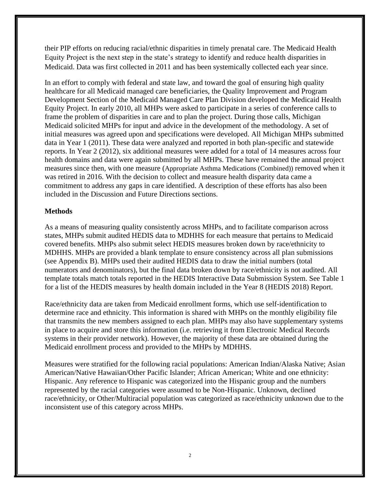their PIP efforts on reducing racial/ethnic disparities in timely prenatal care. The Medicaid Health Equity Project is the next step in the state's strategy to identify and reduce health disparities in Medicaid. Data was first collected in 2011 and has been systemically collected each year since.

In an effort to comply with federal and state law, and toward the goal of ensuring high quality healthcare for all Medicaid managed care beneficiaries, the Quality Improvement and Program Development Section of the Medicaid Managed Care Plan Division developed the Medicaid Health Equity Project. In early 2010, all MHPs were asked to participate in a series of conference calls to frame the problem of disparities in care and to plan the project. During those calls, Michigan Medicaid solicited MHPs for input and advice in the development of the methodology. A set of initial measures was agreed upon and specifications were developed. All Michigan MHPs submitted data in Year 1 (2011). These data were analyzed and reported in both plan-specific and statewide reports. In Year 2 (2012), six additional measures were added for a total of 14 measures across four health domains and data were again submitted by all MHPs. These have remained the annual project measures since then, with one measure (Appropriate Asthma Medications (Combined)) removed when it was retired in 2016. With the decision to collect and measure health disparity data came a commitment to address any gaps in care identified. A description of these efforts has also been included in the Discussion and Future Directions sections.

## **Methods**

As a means of measuring quality consistently across MHPs, and to facilitate comparison across states, MHPs submit audited HEDIS data to MDHHS for each measure that pertains to Medicaid covered benefits. MHPs also submit select HEDIS measures broken down by race/ethnicity to MDHHS. MHPs are provided a blank template to ensure consistency across all plan submissions (see Appendix B). MHPs used their audited HEDIS data to draw the initial numbers (total numerators and denominators), but the final data broken down by race/ethnicity is not audited. All template totals match totals reported in the HEDIS Interactive Data Submission System. See Table 1 for a list of the HEDIS measures by health domain included in the Year 8 (HEDIS 2018) Report.

Race/ethnicity data are taken from Medicaid enrollment forms, which use self-identification to determine race and ethnicity. This information is shared with MHPs on the monthly eligibility file that transmits the new members assigned to each plan. MHPs may also have supplementary systems in place to acquire and store this information (i.e. retrieving it from Electronic Medical Records systems in their provider network). However, the majority of these data are obtained during the Medicaid enrollment process and provided to the MHPs by MDHHS.

Measures were stratified for the following racial populations: American Indian/Alaska Native; Asian American/Native Hawaiian/Other Pacific Islander; African American; White and one ethnicity: Hispanic. Any reference to Hispanic was categorized into the Hispanic group and the numbers represented by the racial categories were assumed to be Non-Hispanic. Unknown, declined race/ethnicity, or Other/Multiracial population was categorized as race/ethnicity unknown due to the inconsistent use of this category across MHPs.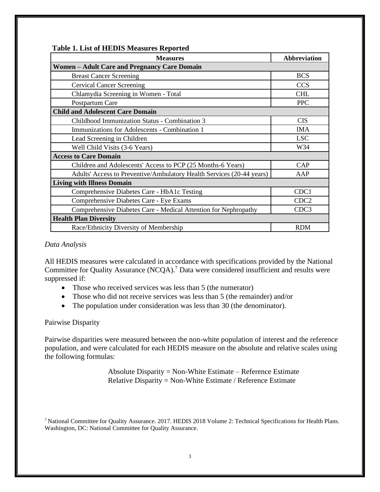| <b>Measures</b>                                                       | <b>Abbreviation</b> |  |  |  |  |  |  |  |
|-----------------------------------------------------------------------|---------------------|--|--|--|--|--|--|--|
| <b>Women – Adult Care and Pregnancy Care Domain</b>                   |                     |  |  |  |  |  |  |  |
| <b>Breast Cancer Screening</b>                                        | <b>BCS</b>          |  |  |  |  |  |  |  |
| <b>Cervical Cancer Screening</b>                                      | <b>CCS</b>          |  |  |  |  |  |  |  |
| Chlamydia Screening in Women - Total                                  | <b>CHL</b>          |  |  |  |  |  |  |  |
| Postpartum Care                                                       | <b>PPC</b>          |  |  |  |  |  |  |  |
| <b>Child and Adolescent Care Domain</b>                               |                     |  |  |  |  |  |  |  |
| Childhood Immunization Status - Combination 3                         | <b>CIS</b>          |  |  |  |  |  |  |  |
| Immunizations for Adolescents - Combination 1                         | <b>IMA</b>          |  |  |  |  |  |  |  |
| Lead Screening in Children                                            | <b>LSC</b>          |  |  |  |  |  |  |  |
| Well Child Visits (3-6 Years)                                         | W34                 |  |  |  |  |  |  |  |
| <b>Access to Care Domain</b>                                          |                     |  |  |  |  |  |  |  |
| Children and Adolescents' Access to PCP (25 Months-6 Years)           | CAP                 |  |  |  |  |  |  |  |
| Adults' Access to Preventive/Ambulatory Health Services (20-44 years) | AAP                 |  |  |  |  |  |  |  |
| <b>Living with Illness Domain</b>                                     |                     |  |  |  |  |  |  |  |
| Comprehensive Diabetes Care - HbA1c Testing                           | CDC1                |  |  |  |  |  |  |  |
| Comprehensive Diabetes Care - Eye Exams                               | CDC <sub>2</sub>    |  |  |  |  |  |  |  |
| Comprehensive Diabetes Care - Medical Attention for Nephropathy       | CDC3                |  |  |  |  |  |  |  |
| <b>Health Plan Diversity</b>                                          |                     |  |  |  |  |  |  |  |
| Race/Ethnicity Diversity of Membership                                | <b>RDM</b>          |  |  |  |  |  |  |  |

#### <span id="page-5-0"></span>**Table 1. List of HEDIS Measures Reported**

#### *Data Analysis*

All HEDIS measures were calculated in accordance with specifications provided by the National Committee for Quality Assurance (NCQA).<sup>7</sup> [D](#page-5-0)ata were considered insufficient and results were suppressed if:

- Those who received services was less than 5 (the numerator)
- Those who did not receive services was less than 5 (the remainder) and/or
- The population under consideration was less than 30 (the denominator).

#### Pairwise Disparity

Pairwise disparities were measured between the non-white population of interest and the reference population, and were calculated for each HEDIS measure on the absolute and relative scales using the following formulas:

> Absolute Disparity = Non-White Estimate – Reference Estimate Relative Disparity = Non-White Estimate / Reference Estimate

<sup>7</sup> National Committee for Quality Assurance. 2017. HEDIS 2018 Volume 2: Technical Specifications for Health Plans. Washington, DC: National Committee for Quality Assurance.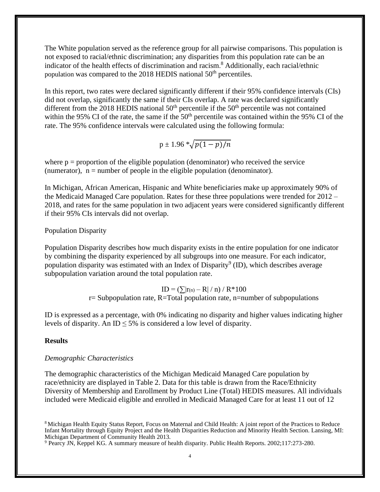<span id="page-6-0"></span>The White population served as the reference group for all pairwise comparisons. This population is not exposed to racial/ethnic discrimination; any disparities from this population rate can be an indicator of the health effects of discrimination and racism. [8](#page-6-0) Additionally, each racial/ethnic population was compared to the 2018 HEDIS national 50<sup>th</sup> percentiles.

In this report, two rates were declared significantly different if their 95% confidence intervals (CIs) did not overlap, significantly the same if their CIs overlap. A rate was declared significantly different from the 2018 HEDIS national  $50<sup>th</sup>$  percentile if the  $50<sup>th</sup>$  percentile was not contained within the 95% CI of the rate, the same if the  $50<sup>th</sup>$  percentile was contained within the 95% CI of the rate. The 95% confidence intervals were calculated using the following formula:

$$
p\pm 1.96\sqrt[k]{p(1-p)/n}
$$

where  $p =$  proportion of the eligible population (denominator) who received the service (numerator),  $n =$  number of people in the eligible population (denominator).

In Michigan, African American, Hispanic and White beneficiaries make up approximately 90% of the Medicaid Managed Care population. Rates for these three populations were trended for 2012 – 2018, and rates for the same population in two adjacent years were considered significantly different if their 95% CIs intervals did not overlap.

#### Population Disparity

Population Disparity describes how much disparity exists in the entire population for one indicator by combining the disparity experienced by all subgroups into one measure. For each indicator, population disparity was estimated with an Index of Disparity<sup>[9](#page-6-0)</sup> (ID), which describes average subpopulation variation around the total population rate.

> $ID = (\sum |r(n) - R| / n) / R * 100$  $r=$  Subpopulation rate, R=Total population rate, n=number of subpopulations

ID is expressed as a percentage, with 0% indicating no disparity and higher values indicating higher levels of disparity. An ID  $\leq$  5% is considered a low level of disparity.

#### **Results**

#### *Demographic Characteristics*

The demographic characteristics of the Michigan Medicaid Managed Care population by race/ethnicity are displayed in Table 2. Data for this table is drawn from the Race/Ethnicity Diversity of Membership and Enrollment by Product Line (Total) HEDIS measures. All individuals included were Medicaid eligible and enrolled in Medicaid Managed Care for at least 11 out of 12

<sup>8</sup> Michigan Health Equity Status Report, Focus on Maternal and Child Health: A joint report of the Practices to Reduce Infant Mortality through Equity Project and the Health Disparities Reduction and Minority Health Section. Lansing, MI: Michigan Department of Community Health 2013.

<sup>&</sup>lt;sup>9</sup> Pearcy JN, Keppel KG. A summary measure of health disparity. Public Health Reports. 2002;117:273-280.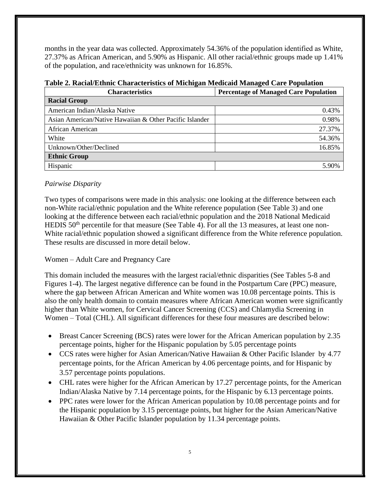months in the year data was collected. Approximately 54.36% of the population identified as White, 27.37% as African American, and 5.90% as Hispanic. All other racial/ethnic groups made up 1.41% of the population, and race/ethnicity was unknown for 16.85%.

| <b>Characteristics</b>                                  | <b>Percentage of Managed Care Population</b> |  |  |  |  |
|---------------------------------------------------------|----------------------------------------------|--|--|--|--|
| <b>Racial Group</b>                                     |                                              |  |  |  |  |
| American Indian/Alaska Native                           | 0.43%                                        |  |  |  |  |
| Asian American/Native Hawaiian & Other Pacific Islander | 0.98%                                        |  |  |  |  |
| African American                                        | 27.37%                                       |  |  |  |  |
| White                                                   | 54.36%                                       |  |  |  |  |
| Unknown/Other/Declined                                  | 16.85%                                       |  |  |  |  |
| <b>Ethnic Group</b>                                     |                                              |  |  |  |  |
| Hispanic                                                | 5.90%                                        |  |  |  |  |

**Table 2. Racial/Ethnic Characteristics of Michigan Medicaid Managed Care Population**

## *Pairwise Disparity*

Two types of comparisons were made in this analysis: one looking at the difference between each non-White racial/ethnic population and the White reference population (See Table 3) and one looking at the difference between each racial/ethnic population and the 2018 National Medicaid HEDIS 50<sup>th</sup> percentile for that measure (See Table 4). For all the 13 measures, at least one non-White racial/ethnic population showed a significant difference from the White reference population. These results are discussed in more detail below.

## Women – Adult Care and Pregnancy Care

This domain included the measures with the largest racial/ethnic disparities (See Tables 5-8 and Figures 1-4). The largest negative difference can be found in the Postpartum Care (PPC) measure, where the gap between African American and White women was 10.08 percentage points. This is also the only health domain to contain measures where African American women were significantly higher than White women, for Cervical Cancer Screening (CCS) and Chlamydia Screening in Women – Total (CHL). All significant differences for these four measures are described below:

- Breast Cancer Screening (BCS) rates were lower for the African American population by 2.35 percentage points, higher for the Hispanic population by 5.05 percentage points
- CCS rates were higher for Asian American/Native Hawaiian & Other Pacific Islander by 4.77 percentage points, for the African American by 4.06 percentage points, and for Hispanic by 3.57 percentage points populations.
- CHL rates were higher for the African American by 17.27 percentage points, for the American Indian/Alaska Native by 7.14 percentage points, for the Hispanic by 6.13 percentage points.
- PPC rates were lower for the African American population by 10.08 percentage points and for the Hispanic population by 3.15 percentage points, but higher for the Asian American/Native Hawaiian & Other Pacific Islander population by 11.34 percentage points.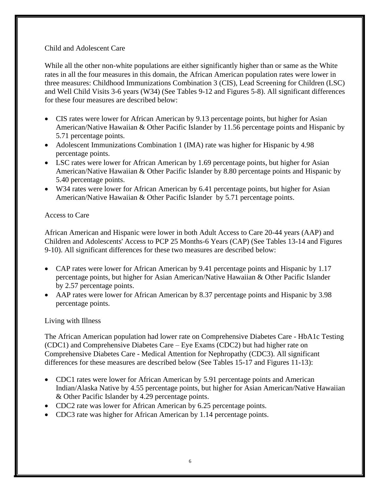## Child and Adolescent Care

While all the other non-white populations are either significantly higher than or same as the White rates in all the four measures in this domain, the African American population rates were lower in three measures: Childhood Immunizations Combination 3 (CIS), Lead Screening for Children (LSC) and Well Child Visits 3-6 years (W34) (See Tables 9-12 and Figures 5-8). All significant differences for these four measures are described below:

- CIS rates were lower for African American by 9.13 percentage points, but higher for Asian American/Native Hawaiian & Other Pacific Islander by 11.56 percentage points and Hispanic by 5.71 percentage points.
- Adolescent Immunizations Combination 1 (IMA) rate was higher for Hispanic by 4.98 percentage points.
- LSC rates were lower for African American by 1.69 percentage points, but higher for Asian American/Native Hawaiian & Other Pacific Islander by 8.80 percentage points and Hispanic by 5.40 percentage points.
- W34 rates were lower for African American by 6.41 percentage points, but higher for Asian American/Native Hawaiian & Other Pacific Islander by 5.71 percentage points.

## Access to Care

African American and Hispanic were lower in both Adult Access to Care 20-44 years (AAP) and Children and Adolescents' Access to PCP 25 Months-6 Years (CAP) (See Tables 13-14 and Figures 9-10). All significant differences for these two measures are described below:

- CAP rates were lower for African American by 9.41 percentage points and Hispanic by 1.17 percentage points, but higher for Asian American/Native Hawaiian & Other Pacific Islander by 2.57 percentage points.
- AAP rates were lower for African American by 8.37 percentage points and Hispanic by 3.98 percentage points.

## Living with Illness

The African American population had lower rate on Comprehensive Diabetes Care - HbA1c Testing (CDC1) and Comprehensive Diabetes Care – Eye Exams (CDC2) but had higher rate on Comprehensive Diabetes Care - Medical Attention for Nephropathy (CDC3). All significant differences for these measures are described below (See Tables 15-17 and Figures 11-13):

- CDC1 rates were lower for African American by 5.91 percentage points and American Indian/Alaska Native by 4.55 percentage points, but higher for Asian American/Native Hawaiian & Other Pacific Islander by 4.29 percentage points.
- CDC2 rate was lower for African American by 6.25 percentage points.
- CDC3 rate was higher for African American by 1.14 percentage points.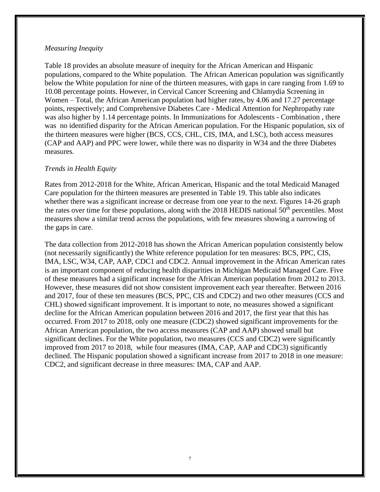#### *Measuring Inequity*

Table 18 provides an absolute measure of inequity for the African American and Hispanic populations, compared to the White population. The African American population was significantly below the White population for nine of the thirteen measures, with gaps in care ranging from 1.69 to 10.08 percentage points. However, in Cervical Cancer Screening and Chlamydia Screening in Women – Total, the African American population had higher rates, by 4.06 and 17.27 percentage points, respectively; and Comprehensive Diabetes Care - Medical Attention for Nephropathy rate was also higher by 1.14 percentage points. In Immunizations for Adolescents - Combination , there was no identified disparity for the African American population. For the Hispanic population, six of the thirteen measures were higher (BCS, CCS, CHL, CIS, IMA, and LSC), both access measures (CAP and AAP) and PPC were lower, while there was no disparity in W34 and the three Diabetes measures.

#### *Trends in Health Equity*

Rates from 2012-2018 for the White, African American, Hispanic and the total Medicaid Managed Care population for the thirteen measures are presented in Table 19. This table also indicates whether there was a significant increase or decrease from one year to the next. Figures 14-26 graph the rates over time for these populations, along with the 2018 HEDIS national  $50<sup>th</sup>$  percentiles. Most measures show a similar trend across the populations, with few measures showing a narrowing of the gaps in care.

The data collection from 2012-2018 has shown the African American population consistently below (not necessarily significantly) the White reference population for ten measures: BCS, PPC, CIS, IMA, LSC, W34, CAP, AAP, CDC1 and CDC2. Annual improvement in the African American rates is an important component of reducing health disparities in Michigan Medicaid Managed Care. Five of these measures had a significant increase for the African American population from 2012 to 2013. However, these measures did not show consistent improvement each year thereafter. Between 2016 and 2017, four of these ten measures (BCS, PPC, CIS and CDC2) and two other measures (CCS and CHL) showed significant improvement. It is important to note, no measures showed a significant decline for the African American population between 2016 and 2017, the first year that this has occurred. From 2017 to 2018, only one measure (CDC2) showed significant improvements for the African American population, the two access measures (CAP and AAP) showed small but significant declines. For the White population, two measures (CCS and CDC2) were significantly improved from 2017 to 2018, while four measures (IMA, CAP, AAP and CDC3) significantly declined. The Hispanic population showed a significant increase from 2017 to 2018 in one measure: CDC2, and significant decrease in three measures: IMA, CAP and AAP.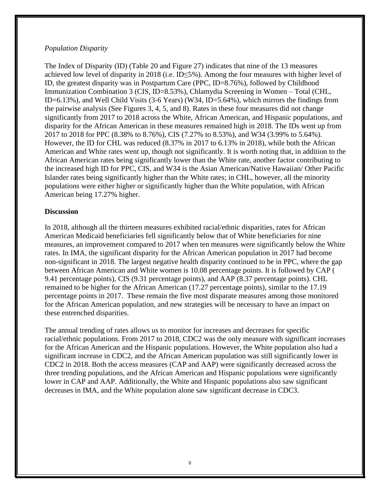### *Population Disparity*

The Index of Disparity (ID) (Table 20 and Figure 27) indicates that nine of the 13 measures achieved low level of disparity in 2018 (i.e. ID≤5%). Among the four measures with higher level of ID, the greatest disparity was in Postpartum Care (PPC, ID=8.76%), followed by Childhood Immunization Combination 3 (CIS, ID=8.53%), Chlamydia Screening in Women – Total (CHL, ID=6.13%), and Well Child Visits (3-6 Years) (W34, ID=5.64%), which mirrors the findings from the pairwise analysis (See Figures 3, 4, 5, and 8). Rates in these four measures did not change significantly from 2017 to 2018 across the White, African American, and Hispanic populations, and disparity for the African American in these measures remained high in 2018. The IDs went up from 2017 to 2018 for PPC (8.38% to 8.76%), CIS (7.27% to 8.53%), and W34 (3.99% to 5.64%). However, the ID for CHL was reduced (8.37% in 2017 to 6.13% in 2018), while both the African American and White rates went up, though not significantly. It is worth noting that, in addition to the African American rates being significantly lower than the White rate, another factor contributing to the increased high ID for PPC, CIS, and W34 is the Asian American/Native Hawaiian/ Other Pacific Islander rates being significantly higher than the White rates; in CHL, however, all the minority populations were either higher or significantly higher than the White population, with African American being 17.27% higher.

## **Discussion**

In 2018, although all the thirteen measures exhibited racial/ethnic disparities, rates for African American Medicaid beneficiaries fell significantly below that of White beneficiaries for nine measures, an improvement compared to 2017 when ten measures were significantly below the White rates. In IMA, the significant disparity for the African American population in 2017 had become non-significant in 2018. The largest negative health disparity continued to be in PPC, where the gap between African American and White women is 10.08 percentage points. It is followed by CAP ( 9.41 percentage points), CIS (9.31 percentage points), and AAP (8.37 percentage points). CHL remained to be higher for the African American (17.27 percentage points), similar to the 17.19 percentage points in 2017. These remain the five most disparate measures among those monitored for the African American population, and new strategies will be necessary to have an impact on these entrenched disparities.

The annual trending of rates allows us to monitor for increases and decreases for specific racial/ethnic populations. From 2017 to 2018, CDC2 was the only measure with significant increases for the African American and the Hispanic populations. However, the White population also had a significant increase in CDC2, and the African American population was still significantly lower in CDC2 in 2018. Both the access measures (CAP and AAP) were significantly decreased across the three trending populations, and the African American and Hispanic populations were significantly lower in CAP and AAP. Additionally, the White and Hispanic populations also saw significant decreases in IMA, and the White population alone saw significant decrease in CDC3.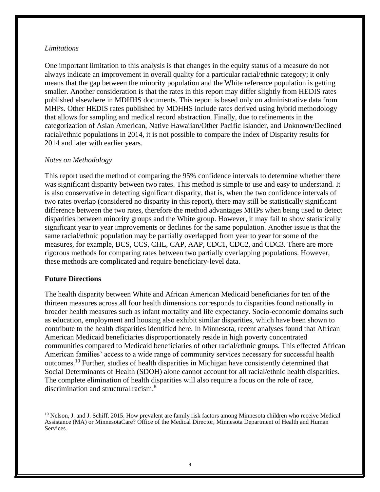#### *Limitations*

One important limitation to this analysis is that changes in the equity status of a measure do not always indicate an improvement in overall quality for a particular racial/ethnic category; it only means that the gap between the minority population and the White reference population is getting smaller. Another consideration is that the rates in this report may differ slightly from HEDIS rates published elsewhere in MDHHS documents. This report is based only on administrative data from MHPs. Other HEDIS rates published by MDHHS include rates derived using hybrid methodology that allows for sampling and medical record abstraction. Finally, due to refinements in the categorization of Asian American, Native Hawaiian/Other Pacific Islander, and Unknown/Declined racial/ethnic populations in 2014, it is not possible to compare the Index of Disparity results for 2014 and later with earlier years.

#### *Notes on Methodology*

This report used the method of comparing the 95% confidence intervals to determine whether there was significant disparity between two rates. This method is simple to use and easy to understand. It is also conservative in detecting significant disparity, that is, when the two confidence intervals of two rates overlap (considered no disparity in this report), there may still be statistically significant difference between the two rates, therefore the method advantages MHPs when being used to detect disparities between minority groups and the White group. However, it may fail to show statistically significant year to year improvements or declines for the same population. Another issue is that the same racial/ethnic population may be partially overlapped from year to year for some of the measures, for example, BCS, CCS, CHL, CAP, AAP, CDC1, CDC2, and CDC3. There are more rigorous methods for comparing rates between two partially overlapping populations. However, these methods are complicated and require beneficiary-level data.

#### **Future Directions**

The health disparity between White and African American Medicaid beneficiaries for ten of the thirteen measures across all four health dimensions corresponds to disparities found nationally in broader health measures such as infant mortality and life expectancy. Socio-economic domains such as education, employment and housing also exhibit similar disparities, which have been shown to contribute to the health disparities identified here. In Minnesota, recent analyses found that African American Medicaid beneficiaries disproportionately reside in high poverty concentrated communities compared to Medicaid beneficiaries of other racial/ethnic groups. This effected African American families' access to a wide range of community services necessary for successful health outcomes.<sup>10</sup> Further, studies of health disparities in Michigan have consistently determined that Social Determinants of Health (SDOH) alone cannot account for all racial/ethnic health disparities. The complete elimination of health disparities will also require a focus on the role of race, discrimination and structural racism.<sup>8</sup>

<sup>10</sup> Nelson, J. and J. Schiff. 2015. How prevalent are family risk factors among Minnesota children who receive Medical Assistance (MA) or MinnesotaCare? Office of the Medical Director, Minnesota Department of Health and Human Services.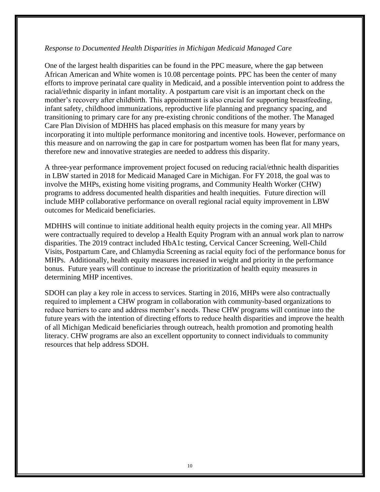### *Response to Documented Health Disparities in Michigan Medicaid Managed Care*

One of the largest health disparities can be found in the PPC measure, where the gap between African American and White women is 10.08 percentage points. PPC has been the center of many efforts to improve perinatal care quality in Medicaid, and a possible intervention point to address the racial/ethnic disparity in infant mortality. A postpartum care visit is an important check on the mother's recovery after childbirth. This appointment is also crucial for supporting breastfeeding, infant safety, childhood immunizations, reproductive life planning and pregnancy spacing, and transitioning to primary care for any pre-existing chronic conditions of the mother. The Managed Care Plan Division of MDHHS has placed emphasis on this measure for many years by incorporating it into multiple performance monitoring and incentive tools. However, performance on this measure and on narrowing the gap in care for postpartum women has been flat for many years, therefore new and innovative strategies are needed to address this disparity.

A three-year performance improvement project focused on reducing racial/ethnic health disparities in LBW started in 2018 for Medicaid Managed Care in Michigan. For FY 2018, the goal was to involve the MHPs, existing home visiting programs, and Community Health Worker (CHW) programs to address documented health disparities and health inequities. Future direction will include MHP collaborative performance on overall regional racial equity improvement in LBW outcomes for Medicaid beneficiaries.

MDHHS will continue to initiate additional health equity projects in the coming year. All MHPs were contractually required to develop a Health Equity Program with an annual work plan to narrow disparities. The 2019 contract included HbA1c testing, Cervical Cancer Screening, Well-Child Visits, Postpartum Care, and Chlamydia Screening as racial equity foci of the performance bonus for MHPs. Additionally, health equity measures increased in weight and priority in the performance bonus. Future years will continue to increase the prioritization of health equity measures in determining MHP incentives.

SDOH can play a key role in access to services. Starting in 2016, MHPs were also contractually required to implement a CHW program in collaboration with community-based organizations to reduce barriers to care and address member's needs. These CHW programs will continue into the future years with the intention of directing efforts to reduce health disparities and improve the health of all Michigan Medicaid beneficiaries through outreach, health promotion and promoting health literacy. CHW programs are also an excellent opportunity to connect individuals to community resources that help address SDOH.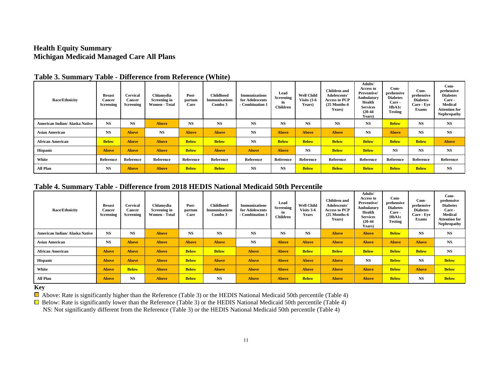## **Health Equity Summary Michigan Medicaid Managed Care All Plans**

| <b>Race/Ethnicity</b>          | <b>Breast</b><br>Cancer<br><b>Screening</b> | <b>Cervical</b><br>Cancer<br><b>Screening</b> | Chlamvdia<br>Screening in<br>Women - Total | Post-<br>partum<br>Care | <b>Childhood</b><br><b>Immunizations</b><br>Combo 3 | <b>Immunizations</b><br>for Adolescents<br>- Combination 1 | Lead<br>Screening<br>in<br><b>Children</b> | <b>Well Child</b><br>Visits $(3-6)$<br>Years) | <b>Children</b> and<br>Adolescents'<br><b>Access to PCP</b><br>$(25$ Months-6<br>Years) | Adults'<br><b>Access to</b><br>Preventive/<br>Ambulatory<br>Health<br><b>Services</b><br>$(20-44)$<br>Years) | $Com-$<br>prehensive<br><b>Diabetes</b><br>Care -<br>HbA1c<br>Testing | $Com-$<br>prehensive<br><b>Diabetes</b><br>Care - Eve<br>Exams | $Com-$<br>prehensive<br><b>Diabetes</b><br>Care -<br><b>Medical</b><br><b>Attention for</b><br><b>Nephropathy</b> |
|--------------------------------|---------------------------------------------|-----------------------------------------------|--------------------------------------------|-------------------------|-----------------------------------------------------|------------------------------------------------------------|--------------------------------------------|-----------------------------------------------|-----------------------------------------------------------------------------------------|--------------------------------------------------------------------------------------------------------------|-----------------------------------------------------------------------|----------------------------------------------------------------|-------------------------------------------------------------------------------------------------------------------|
| American Indian/ Alaska Native | <b>NS</b>                                   | <b>NS</b>                                     | <b>Above</b>                               | <b>NS</b>               | <b>NS</b>                                           | <b>NS</b>                                                  | <b>NS</b>                                  | <b>NS</b>                                     | <b>NS</b>                                                                               | $_{\rm NS}$                                                                                                  | <b>Below</b>                                                          | <b>NS</b>                                                      | <b>NS</b>                                                                                                         |
| <b>Asian American</b>          | <b>NS</b>                                   | <b>Above</b>                                  | <b>NS</b>                                  | <b>Above</b>            | <b>Above</b>                                        | <b>NS</b>                                                  | <b>Above</b>                               | <b>Above</b>                                  | <b>Above</b>                                                                            | $_{\rm NS}$                                                                                                  | <b>Above</b>                                                          | <b>NS</b>                                                      | <b>NS</b>                                                                                                         |
| <b>African American</b>        | <b>Below</b>                                | <b>Above</b>                                  | <b>Above</b>                               | <b>Below</b>            | <b>Below</b>                                        | <b>NS</b>                                                  | <b>Below</b>                               | <b>Below</b>                                  | <b>Below</b>                                                                            | <b>Below</b>                                                                                                 | <b>Below</b>                                                          | <b>Below</b>                                                   | <b>Above</b>                                                                                                      |
| <b>Hispanic</b>                | <b>Above</b>                                | <b>Above</b>                                  | <b>Above</b>                               | <b>Below</b>            | <b>Above</b>                                        | <b>Above</b>                                               | <b>Above</b>                               | <b>NS</b>                                     | <b>Below</b>                                                                            | <b>Below</b>                                                                                                 | <b>NS</b>                                                             | <b>NS</b>                                                      | <b>NS</b>                                                                                                         |
| White                          | Reference                                   | Reference                                     | Reference                                  | Reference               | Reference                                           | Reference                                                  | Reference                                  | Reference                                     | Reference                                                                               | Reference                                                                                                    | Reference                                                             | Reference                                                      | Reference                                                                                                         |
| All Plan                       | <b>NS</b>                                   | <b>Above</b>                                  | <b>Above</b>                               | <b>Below</b>            | <b>Below</b>                                        | <b>NS</b>                                                  | <b>NS</b>                                  | <b>Below</b>                                  | <b>Below</b>                                                                            | <b>Below</b>                                                                                                 | <b>Below</b>                                                          | <b>Below</b>                                                   | <b>NS</b>                                                                                                         |

## **Table 3. Summary Table - Difference from Reference (White)**

#### **Table 4. Summary Table - Difference from 2018 HEDIS National Medicaid 50th Percentile**

| <b>Race/Ethnicity</b>          | <b>Breast</b><br>Cancer<br>Screening | Cervical<br>Cancer<br>Screening | Chlamvdia<br><b>Screening in</b><br>Women - Total | Post-<br>partum<br>Care | <b>Childhood</b><br><b>Immunizations</b><br>Combo 3 | <b>Immunizations</b><br>for Adolescents<br>- Combination 1 | Lead<br>Screening<br>in<br><b>Children</b> | <b>Well Child</b><br>Visits 3-6<br>Years | <b>Children</b> and<br>Adolescents'<br><b>Access to PCP</b><br>$(25$ Months- $6$<br><b>Years</b> ) | Adults'<br><b>Access to</b><br>Preventive/<br>Ambulatory<br>Health<br><b>Services</b><br>$(20-44)$<br>Years) | Com-<br>prehensive<br><b>Diabetes</b><br>Care -<br>HbA1c<br><b>Testing</b> | Com-<br>prehensive<br><b>Diabetes</b><br>Care - Eve<br><b>Exams</b> | $Com-$<br>prehensive<br><b>Diabetes</b><br>Care -<br>Medical<br><b>Attention for</b><br>Nephropathy |
|--------------------------------|--------------------------------------|---------------------------------|---------------------------------------------------|-------------------------|-----------------------------------------------------|------------------------------------------------------------|--------------------------------------------|------------------------------------------|----------------------------------------------------------------------------------------------------|--------------------------------------------------------------------------------------------------------------|----------------------------------------------------------------------------|---------------------------------------------------------------------|-----------------------------------------------------------------------------------------------------|
| American Indian/ Alaska Native | <b>NS</b>                            | NS                              | <b>Above</b>                                      | <b>NS</b>               | <b>NS</b>                                           | $_{\rm NS}$                                                | <b>NS</b>                                  | <b>NS</b>                                | <b>Above</b>                                                                                       | <b>Above</b>                                                                                                 | <b>Below</b>                                                               | <b>NS</b>                                                           | <b>NS</b>                                                                                           |
| <b>Asian American</b>          | <b>NS</b>                            | <b>Above</b>                    | <b>Above</b>                                      | <b>Above</b>            | <b>Above</b>                                        | <b>NS</b>                                                  | <b>Above</b>                               | <b>Above</b>                             | <b>Above</b>                                                                                       | <b>Above</b>                                                                                                 | <b>Above</b>                                                               | <b>Above</b>                                                        | <b>NS</b>                                                                                           |
| <b>African American</b>        | <b>Above</b>                         | <b>Above</b>                    | <b>Above</b>                                      | <b>Below</b>            | <b>Below</b>                                        | <b>Above</b>                                               | <b>Above</b>                               | <b>Below</b>                             | <b>Below</b>                                                                                       | <b>Below</b>                                                                                                 | <b>Below</b>                                                               | <b>Below</b>                                                        | <b>NS</b>                                                                                           |
| <b>Hispanic</b>                | <b>Above</b>                         | <b>Above</b>                    | <b>Above</b>                                      | <b>Below</b>            | <b>Above</b>                                        | <b>Above</b>                                               | <b>Above</b>                               | <b>Above</b>                             | <b>Above</b>                                                                                       | <b>NS</b>                                                                                                    | <b>Below</b>                                                               | <b>NS</b>                                                           | <b>Below</b>                                                                                        |
| White                          | <b>Above</b>                         | <b>Below</b>                    | <b>Above</b>                                      | <b>Below</b>            | <b>Above</b>                                        | <b>Above</b>                                               | <b>Above</b>                               | <b>Above</b>                             | <b>Above</b>                                                                                       | <b>Above</b>                                                                                                 | <b>Below</b>                                                               | <b>Above</b>                                                        | <b>Below</b>                                                                                        |
| All Plan                       | <b>Above</b>                         | <b>NS</b>                       | <b>Above</b>                                      | <b>Below</b>            | NS                                                  | <b>Above</b>                                               | <b>Above</b>                               | <b>Below</b>                             | <b>Above</b>                                                                                       | <b>Above</b>                                                                                                 | <b>Below</b>                                                               | <b>NS</b>                                                           | <b>Below</b>                                                                                        |

#### **Key**

 $\Box$  Above: Rate is significantly higher than the Reference (Table 3) or the HEDIS National Medicaid 50th percentile (Table 4)

 $\Box$  Below: Rate is significantly lower than the Reference (Table 3) or the HEDIS National Medicaid 50th percentile (Table 4) NS: Not significantly different from the Reference (Table 3) or the HEDIS National Medicaid 50th percentile (Table 4)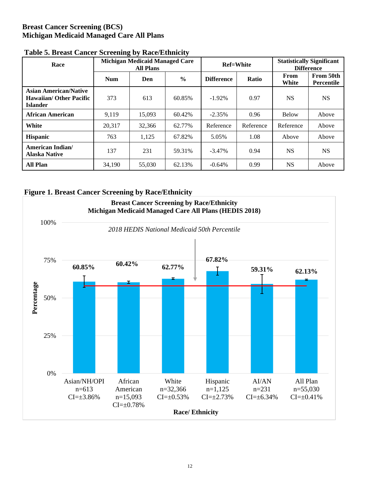## **Breast Cancer Screening (BCS) Michigan Medicaid Managed Care All Plans**

| Race                                                                              |            | <b>Michigan Medicaid Managed Care</b><br><b>All Plans</b> |               |                   | <b>Ref=White</b> | <b>Statistically Significant</b><br><b>Difference</b> |                                |
|-----------------------------------------------------------------------------------|------------|-----------------------------------------------------------|---------------|-------------------|------------------|-------------------------------------------------------|--------------------------------|
|                                                                                   | <b>Num</b> | Den                                                       | $\frac{0}{0}$ | <b>Difference</b> | Ratio            | From<br>White                                         | From 50th<br><b>Percentile</b> |
| <b>Asian American/Native</b><br><b>Hawaiian/ Other Pacific</b><br><b>Islander</b> | 373        | 613                                                       | 60.85%        | $-1.92\%$         | 0.97             | <b>NS</b>                                             | <b>NS</b>                      |
| African American                                                                  | 9.119      | 15,093                                                    | 60.42%        | $-2.35%$          | 0.96             | <b>Below</b>                                          | Above                          |
| White                                                                             | 20.317     | 32,366                                                    | 62.77%        | Reference         | Reference        | Reference                                             | Above                          |
| <b>Hispanic</b>                                                                   | 763        | 1.125                                                     | 67.82%        | 5.05%             | 1.08             | Above                                                 | Above                          |
| American Indian/<br><b>Alaska Native</b>                                          | 137        | 231                                                       | 59.31%        | $-3.47\%$         | 0.94             | <b>NS</b>                                             | <b>NS</b>                      |
| <b>All Plan</b>                                                                   | 34,190     | 55,030                                                    | 62.13%        | $-0.64%$          | 0.99             | <b>NS</b>                                             | Above                          |

## **Table 5. Breast Cancer Screening by Race/Ethnicity**

## **Figure 1. Breast Cancer Screening by Race/Ethnicity**

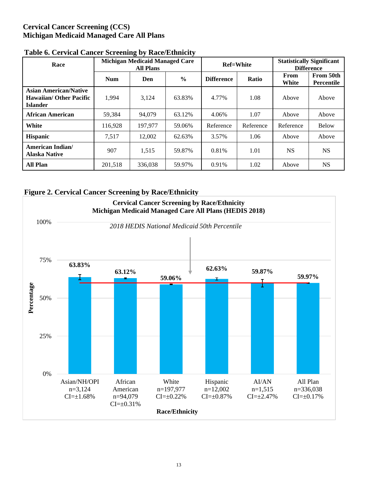## **Cervical Cancer Screening (CCS) Michigan Medicaid Managed Care All Plans**

| Race                                                                              |            | <b>Michigan Medicaid Managed Care</b><br><b>All Plans</b> |               |                            | <b>Ref=White</b> | <b>Statistically Significant</b><br><b>Difference</b> |                                |
|-----------------------------------------------------------------------------------|------------|-----------------------------------------------------------|---------------|----------------------------|------------------|-------------------------------------------------------|--------------------------------|
|                                                                                   | <b>Num</b> | Den                                                       | $\frac{6}{9}$ | <b>Difference</b><br>Ratio |                  | From<br>White                                         | From 50th<br><b>Percentile</b> |
| <b>Asian American/Native</b><br><b>Hawaiian/ Other Pacific</b><br><b>Islander</b> | 1.994      | 3,124                                                     | 63.83%        | 4.77%                      | 1.08             | Above                                                 | Above                          |
| African American                                                                  | 59,384     | 94,079                                                    | 63.12%        | 4.06%                      | 1.07             | Above                                                 | Above                          |
| White                                                                             | 116.928    | 197.977                                                   | 59.06%        | Reference                  | Reference        | Reference                                             | <b>Below</b>                   |
| <b>Hispanic</b>                                                                   | 7.517      | 12,002                                                    | 62.63%        | 3.57%                      | 1.06             | Above                                                 | Above                          |
| American Indian/<br><b>Alaska Native</b>                                          | 907        | 1,515                                                     | 59.87%        | 0.81%                      | 1.01             | <b>NS</b>                                             | <b>NS</b>                      |
| <b>All Plan</b>                                                                   | 201,518    | 336,038                                                   | 59.97%        | 0.91%                      | 1.02             | Above                                                 | <b>NS</b>                      |

## **Table 6. Cervical Cancer Screening by Race/Ethnicity**

#### **Figure 2. Cervical Cancer Screening by Race/Ethnicity**

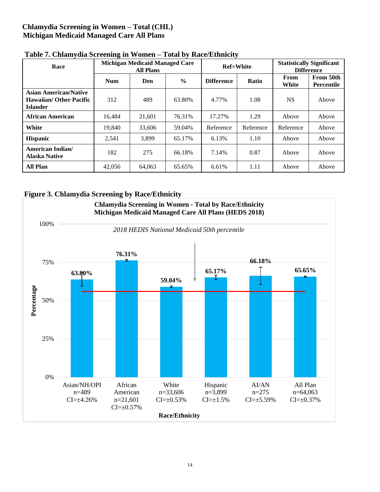## **Chlamydia Screening in Women – Total (CHL) Michigan Medicaid Managed Care All Plans**

| Race                                                                              |            | <b>Michigan Medicaid Managed Care</b><br><b>All Plans</b> |               |                   | <b>Ref=White</b> | <b>Statistically Significant</b><br><b>Difference</b> |                                |
|-----------------------------------------------------------------------------------|------------|-----------------------------------------------------------|---------------|-------------------|------------------|-------------------------------------------------------|--------------------------------|
|                                                                                   | <b>Num</b> | Den                                                       | $\frac{6}{9}$ | <b>Difference</b> | Ratio            | From<br>White                                         | From 50th<br><b>Percentile</b> |
| <b>Asian American/Native</b><br><b>Hawaiian/ Other Pacific</b><br><b>Islander</b> | 312        | 489                                                       | 63.80%        | 4.77%             | 1.08             | <b>NS</b>                                             | Above                          |
| African American                                                                  | 16,484     | 21,601                                                    | 76.31%        | 17.27%            | 1.29             | Above                                                 | Above                          |
| White                                                                             | 19.840     | 33,606                                                    | 59.04%        | Reference         | Reference        | Reference                                             | Above                          |
| <b>Hispanic</b>                                                                   | 2,541      | 3,899                                                     | 65.17%        | 6.13%             | 1.10             | Above                                                 | Above                          |
| American Indian/<br><b>Alaska Native</b>                                          | 182        | 275                                                       | 66.18%        | 7.14%             | 0.87             | Above                                                 | Above                          |
| <b>All Plan</b>                                                                   | 42,056     | 64,063                                                    | 65.65%        | 6.61%             | 1.11             | Above                                                 | Above                          |

### **Table 7. Chlamydia Screening in Women – Total by Race/Ethnicity**

## **Figure 3. Chlamydia Screening by Race/Ethnicity**

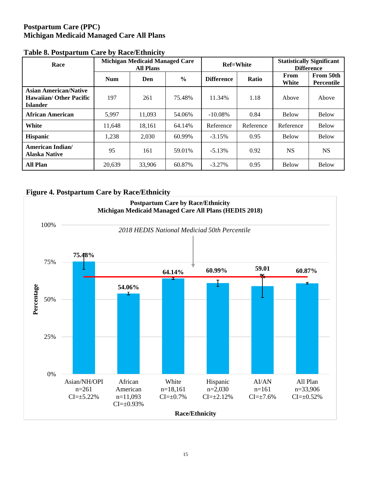## **Postpartum Care (PPC) Michigan Medicaid Managed Care All Plans**

| Race                                                                              |            | Michigan Medicaid Managed Care<br><b>All Plans</b> |               | <b>Ref=White</b>  |           | <b>Statistically Significant</b><br><b>Difference</b> |                                |  |  |
|-----------------------------------------------------------------------------------|------------|----------------------------------------------------|---------------|-------------------|-----------|-------------------------------------------------------|--------------------------------|--|--|
|                                                                                   | <b>Num</b> | Den                                                | $\frac{0}{0}$ | <b>Difference</b> | Ratio     | From<br>White                                         | From 50th<br><b>Percentile</b> |  |  |
| <b>Asian American/Native</b><br><b>Hawaiian/ Other Pacific</b><br><b>Islander</b> | 197        | 11.34%<br>261<br>75.48%                            |               | 1.18              | Above     | Above                                                 |                                |  |  |
| African American                                                                  | 5,997      | 11.093                                             | 54.06%        | $-10.08\%$        | 0.84      | <b>Below</b>                                          | <b>Below</b>                   |  |  |
| White                                                                             | 11.648     | 18,161                                             | 64.14%        | Reference         | Reference | Reference                                             | <b>Below</b>                   |  |  |
| <b>Hispanic</b>                                                                   | 1,238      | 2.030                                              | 60.99%        | $-3.15%$          | 0.95      | Below                                                 | <b>Below</b>                   |  |  |
| <b>American Indian/</b><br><b>Alaska Native</b>                                   | 95         | 161                                                | 59.01%        | $-5.13%$          | 0.92      | <b>NS</b>                                             | <b>NS</b>                      |  |  |
| <b>All Plan</b>                                                                   | 20.639     | 33,906                                             | 60.87%        | $-3.27\%$         | 0.95      | Below                                                 | <b>Below</b>                   |  |  |

### **Table 8. Postpartum Care by Race/Ethnicity**

## **Figure 4. Postpartum Care by Race/Ethnicity**

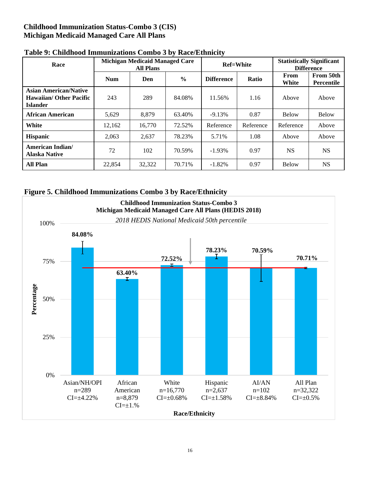## **Childhood Immunization Status-Combo 3 (CIS) Michigan Medicaid Managed Care All Plans**

| Race                                                                              |            | <b>Michigan Medicaid Managed Care</b><br><b>All Plans</b> |               | <b>Ref=White</b>  |           | <b>Statistically Significant</b><br><b>Difference</b> |                                |  |  |
|-----------------------------------------------------------------------------------|------------|-----------------------------------------------------------|---------------|-------------------|-----------|-------------------------------------------------------|--------------------------------|--|--|
|                                                                                   | <b>Num</b> | Den                                                       | $\frac{0}{0}$ | <b>Difference</b> | Ratio     | From<br>White                                         | From 50th<br><b>Percentile</b> |  |  |
| <b>Asian American/Native</b><br><b>Hawaiian/ Other Pacific</b><br><b>Islander</b> | 243        | 289                                                       | 84.08%        | 11.56%            | 1.16      | Above                                                 | Above                          |  |  |
| <b>African American</b>                                                           | 5.629      | 8,879                                                     | 63.40%        | $-9.13%$          | 0.87      | <b>Below</b>                                          | <b>Below</b>                   |  |  |
| White                                                                             | 12,162     | 16,770                                                    | 72.52%        | Reference         | Reference | Reference                                             | Above                          |  |  |
| <b>Hispanic</b>                                                                   | 2,063      | 2,637                                                     | 78.23%        | 5.71%             | 1.08      | Above                                                 | Above                          |  |  |
| <b>American Indian/</b><br>Alaska Native                                          | 72         | 102                                                       | 70.59%        | $-1.93\%$         | 0.97      | <b>NS</b>                                             | <b>NS</b>                      |  |  |
| <b>All Plan</b>                                                                   | 22,854     | 32,322                                                    | 70.71%        | $-1.82%$          | 0.97      | Below                                                 | <b>NS</b>                      |  |  |

### **Table 9: Childhood Immunizations Combo 3 by Race/Ethnicity**



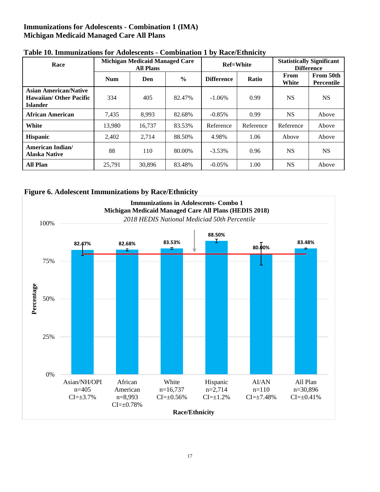## **Immunizations for Adolescents - Combination 1 (IMA) Michigan Medicaid Managed Care All Plans**

| Race                                                                              |            | <b>Michigan Medicaid Managed Care</b><br><b>All Plans</b> |               |                   | <b>Ref=White</b> | <b>Statistically Significant</b><br><b>Difference</b> |                                |  |  |
|-----------------------------------------------------------------------------------|------------|-----------------------------------------------------------|---------------|-------------------|------------------|-------------------------------------------------------|--------------------------------|--|--|
|                                                                                   | <b>Num</b> | Den                                                       | $\frac{0}{0}$ | <b>Difference</b> | <b>Ratio</b>     | From<br>White                                         | From 50th<br><b>Percentile</b> |  |  |
| <b>Asian American/Native</b><br><b>Hawaiian/ Other Pacific</b><br><b>Islander</b> | 334        | 405                                                       | 82.47%        | $-1.06\%$         | 0.99             | <b>NS</b>                                             | <b>NS</b>                      |  |  |
| African American                                                                  | 7,435      | 8.993                                                     | 82.68%        | $-0.85%$          | 0.99             | <b>NS</b>                                             | Above                          |  |  |
| White                                                                             | 13.980     | 16,737                                                    | 83.53%        | Reference         | Reference        | Reference                                             | Above                          |  |  |
| <b>Hispanic</b>                                                                   | 2.402      | 2.714                                                     | 88.50%        | 4.98%             | 1.06             | Above                                                 | Above                          |  |  |
| American Indian/<br><b>Alaska Native</b>                                          | 88         | 110                                                       | 80.00%        | $-3.53%$          | 0.96             | <b>NS</b>                                             | <b>NS</b>                      |  |  |
| <b>All Plan</b>                                                                   | 25,791     | 30,896                                                    | 83.48%        | $-0.05%$          | 1.00             | <b>NS</b>                                             | Above                          |  |  |

## **Table 10. Immunizations for Adolescents - Combination 1 by Race/Ethnicity**

## **Figure 6. Adolescent Immunizations by Race/Ethnicity**

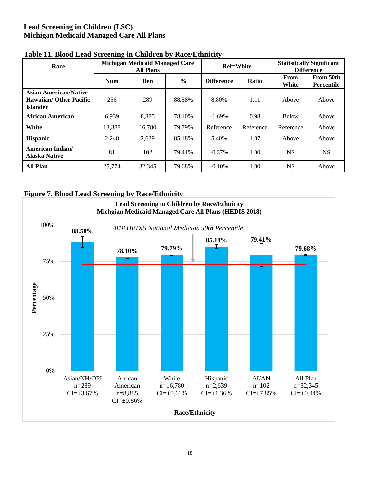## **Lead Screening in Children (LSC) Michigan Medicaid Managed Care All Plans**

| Race                                                                              |            | <b>Michigan Medicaid Managed Care</b><br><b>All Plans</b> |               |                   | <b>Ref=White</b> | <b>Statistically Significant</b><br><b>Difference</b> |                         |  |  |  |
|-----------------------------------------------------------------------------------|------------|-----------------------------------------------------------|---------------|-------------------|------------------|-------------------------------------------------------|-------------------------|--|--|--|
|                                                                                   | <b>Num</b> | Den                                                       | $\frac{6}{9}$ | <b>Difference</b> | Ratio            |                                                       | From 50th<br>Percentile |  |  |  |
| <b>Asian American/Native</b><br><b>Hawaiian/ Other Pacific</b><br><b>Islander</b> | 256        | 289                                                       | 88.58%        | 8.80%             | 1.11             | Above                                                 | Above                   |  |  |  |
| African American                                                                  | 6.939      | 8,885                                                     | 78.10%        | $-1.69\%$         | 0.98             | <b>Below</b>                                          | Above                   |  |  |  |
| White                                                                             | 13,388     | 16.780                                                    | 79.79%        | Reference         | Reference        | Reference                                             | Above                   |  |  |  |
| <b>Hispanic</b>                                                                   | 2.248      | 2,639                                                     | 85.18%        | 5.40%             | 1.07             | Above                                                 | Above                   |  |  |  |
| American Indian/<br><b>Alaska Native</b>                                          | 81         | 102                                                       | 79.41%        | $-0.37\%$         | 1.00             | NS.                                                   | <b>NS</b>               |  |  |  |
| <b>All Plan</b>                                                                   | 25,774     | 32,345                                                    | 79.68%        | $-0.10%$          | 1.00             | <b>NS</b>                                             | Above                   |  |  |  |

### **Table 11. Blood Lead Screening in Children by Race/Ethnicity**

## **Figure 7. Blood Lead Screening by Race/Ethnicity**

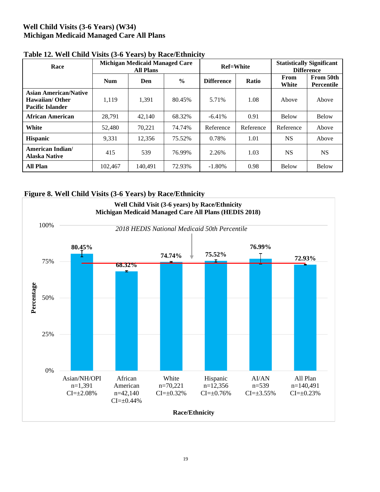## **Well Child Visits (3-6 Years) (W34) Michigan Medicaid Managed Care All Plans**

| which is a complete the set of $\mathcal{L}$ of $\mathcal{L}$ and $\mathcal{L}$ and $\mathcal{L}$ is a complete that $\mathcal{L}$<br>Race |            | <b>Michigan Medicaid Managed Care</b><br><b>All Plans</b> |               |                   | <b>Ref=White</b> | <b>Statistically Significant</b><br><b>Difference</b> |                                |  |  |
|--------------------------------------------------------------------------------------------------------------------------------------------|------------|-----------------------------------------------------------|---------------|-------------------|------------------|-------------------------------------------------------|--------------------------------|--|--|
|                                                                                                                                            | <b>Num</b> | Den                                                       | $\frac{0}{0}$ | <b>Difference</b> | Ratio            | From<br>White                                         | From 50th<br><b>Percentile</b> |  |  |
| <b>Asian American/Native</b><br><b>Hawaiian/Other</b><br><b>Pacific Islander</b>                                                           | 1.119      | 1,391                                                     | 80.45%        | 5.71%             | 1.08             | Above                                                 | Above                          |  |  |
| <b>African American</b>                                                                                                                    | 28.791     | 42,140                                                    | 68.32%        | $-6.41%$          | 0.91             | <b>Below</b>                                          | <b>Below</b>                   |  |  |
| White                                                                                                                                      | 52,480     | 70.221                                                    | 74.74%        | Reference         | Reference        | Reference                                             | Above                          |  |  |
| <b>Hispanic</b>                                                                                                                            | 9,331      | 12.356                                                    | 75.52%        | 0.78%             | 1.01             | <b>NS</b>                                             | Above                          |  |  |
| <b>American Indian/</b><br><b>Alaska Native</b>                                                                                            | 415        | 539                                                       | 76.99%        | 2.26%             | 1.03             | <b>NS</b>                                             | <b>NS</b>                      |  |  |
| <b>All Plan</b>                                                                                                                            | 102.467    | 140,491                                                   | 72.93%        | $-1.80%$          | 0.98             | <b>Below</b>                                          | <b>Below</b>                   |  |  |

## **Table 12. Well Child Visits (3-6 Years) by Race/Ethnicity**



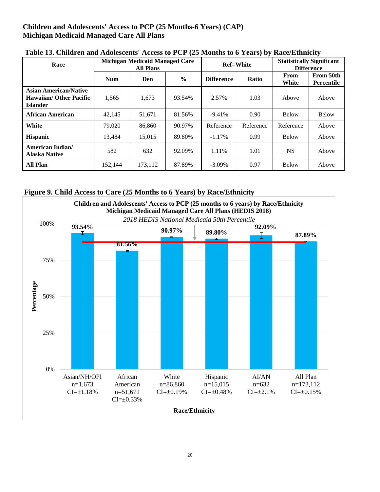## **Children and Adolescents' Access to PCP (25 Months-6 Years) (CAP) Michigan Medicaid Managed Care All Plans**

| Race                                                                              |            | <b>Michigan Medicaid Managed Care</b><br><b>All Plans</b> |               |                   | <b>Ref=White</b> | <b>Statistically Significant</b><br><b>Difference</b> |                                |  |  |
|-----------------------------------------------------------------------------------|------------|-----------------------------------------------------------|---------------|-------------------|------------------|-------------------------------------------------------|--------------------------------|--|--|
|                                                                                   | <b>Num</b> | Den                                                       | $\frac{6}{9}$ | <b>Difference</b> | Ratio            | From<br>White                                         | From 50th<br><b>Percentile</b> |  |  |
| <b>Asian American/Native</b><br><b>Hawaiian/ Other Pacific</b><br><b>Islander</b> | 1,565      | 1,673                                                     | 93.54%        | 2.57%             | 1.03             | Above                                                 | Above                          |  |  |
| <b>African American</b>                                                           | 42,145     | 51,671                                                    | 81.56%        | $-9.41\%$         | 0.90             | <b>Below</b>                                          | <b>Below</b>                   |  |  |
| White                                                                             | 79.020     | 86,860                                                    | 90.97%        | Reference         | Reference        | Reference                                             | Above                          |  |  |
| <b>Hispanic</b>                                                                   | 13,484     | 15,015                                                    | 89.80%        | $-1.17\%$         | 0.99             | <b>Below</b>                                          | Above                          |  |  |
| American Indian/<br>Alaska Native                                                 | 582        | 632                                                       | 92.09%        | 1.11%             | 1.01             | <b>NS</b>                                             | Above                          |  |  |
| <b>All Plan</b>                                                                   | 152.144    | 173.112                                                   | 87.89%        | $-3.09\%$         | 0.97             | <b>Below</b>                                          | Above                          |  |  |

**Table 13. Children and Adolescents' Access to PCP (25 Months to 6 Years) by Race/Ethnicity**

## **Figure 9. Child Access to Care (25 Months to 6 Years) by Race/Ethnicity**

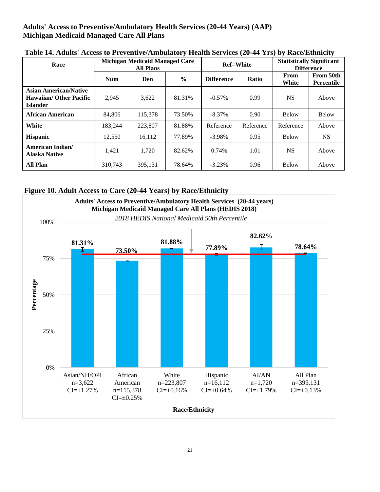## **Adults' Access to Preventive/Ambulatory Health Services (20-44 Years) (AAP) Michigan Medicaid Managed Care All Plans**

| Race                                                                              |            | <b>Michigan Medicaid Managed Care</b><br><b>All Plans</b> |               |                   | <b>Ref=White</b> | <b>Statistically Significant</b><br><b>Difference</b> |                         |  |  |
|-----------------------------------------------------------------------------------|------------|-----------------------------------------------------------|---------------|-------------------|------------------|-------------------------------------------------------|-------------------------|--|--|
|                                                                                   | <b>Num</b> | Den                                                       | $\frac{0}{0}$ | <b>Difference</b> | Ratio            | From<br>White                                         | From 50th<br>Percentile |  |  |
| <b>Asian American/Native</b><br><b>Hawaiian/ Other Pacific</b><br><b>Islander</b> | 2,945      | 3,622                                                     | 81.31%        | $-0.57\%$         | 0.99             | NS.                                                   | Above                   |  |  |
| African American                                                                  | 84,806     | 115.378                                                   | 73.50%        | $-8.37\%$         | 0.90             | <b>Below</b>                                          | <b>Below</b>            |  |  |
| White                                                                             | 183.244    | 223,807                                                   | 81.88%        | Reference         | Reference        | Reference                                             | Above                   |  |  |
| <b>Hispanic</b>                                                                   | 12.550     | 16,112                                                    | 77.89%        | $-3.98\%$         | 0.95             | <b>Below</b>                                          | <b>NS</b>               |  |  |
| <b>American Indian/</b><br><b>Alaska Native</b>                                   | 1,421      | 1,720                                                     | 82.62%        | 0.74%             | 1.01             | <b>NS</b>                                             | Above                   |  |  |
| <b>All Plan</b>                                                                   | 310.743    | 395,131                                                   | 78.64%        | $-3.23%$          | 0.96             | <b>Below</b>                                          | Above                   |  |  |

**Table 14. Adults' Access to Preventive/Ambulatory Health Services (20-44 Yrs) by Race/Ethnicity**

## **Figure 10. Adult Access to Care (20-44 Years) by Race/Ethnicity**

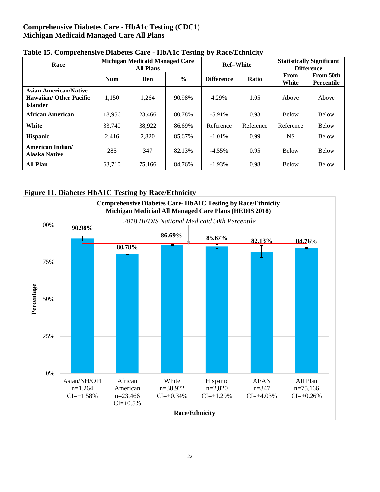## **Comprehensive Diabetes Care - HbA1c Testing (CDC1) Michigan Medicaid Managed Care All Plans**

| Race                                                                              |            | <b>Michigan Medicaid Managed Care</b><br><b>All Plans</b> |        |                   | <b>Ref=White</b> | <b>Statistically Significant</b><br><b>Difference</b> |                                |  |  |
|-----------------------------------------------------------------------------------|------------|-----------------------------------------------------------|--------|-------------------|------------------|-------------------------------------------------------|--------------------------------|--|--|
|                                                                                   | <b>Num</b> | $\frac{6}{9}$<br>Den                                      |        | <b>Difference</b> | Ratio            | From<br>White                                         | From 50th<br><b>Percentile</b> |  |  |
| <b>Asian American/Native</b><br><b>Hawaiian/ Other Pacific</b><br><b>Islander</b> | 1,150      | 1,264                                                     | 90.98% | 4.29%             | 1.05             | Above                                                 | Above                          |  |  |
| African American                                                                  | 18,956     | 23,466                                                    | 80.78% | $-5.91\%$         | 0.93             | <b>Below</b>                                          | <b>Below</b>                   |  |  |
| White                                                                             | 33,740     | 38,922                                                    | 86.69% | Reference         | Reference        | Reference                                             | <b>Below</b>                   |  |  |
| <b>Hispanic</b>                                                                   | 2,416      | 2,820                                                     | 85.67% | $-1.01\%$         | 0.99             | <b>NS</b>                                             | <b>Below</b>                   |  |  |
| American Indian/<br><b>Alaska Native</b>                                          | 285        | 347                                                       | 82.13% | $-4.55\%$         | 0.95             | <b>Below</b>                                          | <b>Below</b>                   |  |  |
| <b>All Plan</b>                                                                   | 63.710     | 75,166                                                    | 84.76% | $-1.93\%$         | 0.98             | <b>Below</b>                                          | <b>Below</b>                   |  |  |

## **Table 15. Comprehensive Diabetes Care - HbA1c Testing by Race/Ethnicity**

## **Figure 11. Diabetes HbA1C Testing by Race/Ethnicity**

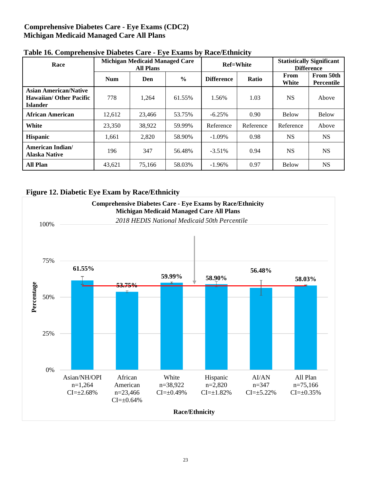## **Comprehensive Diabetes Care - Eye Exams (CDC2) Michigan Medicaid Managed Care All Plans**

| Race                                                                              |            | <b>Michigan Medicaid Managed Care</b><br><b>All Plans</b> |        | <b>Ref=White</b>  |           | <b>Statistically Significant</b><br><b>Difference</b> |                         |  |  |
|-----------------------------------------------------------------------------------|------------|-----------------------------------------------------------|--------|-------------------|-----------|-------------------------------------------------------|-------------------------|--|--|
|                                                                                   | <b>Num</b> | Den                                                       | $\%$   | <b>Difference</b> | Ratio     | From<br>White                                         | From 50th<br>Percentile |  |  |
| <b>Asian American/Native</b><br><b>Hawaiian/ Other Pacific</b><br><b>Islander</b> | 778        | 1,264                                                     | 61.55% | 1.56%             | 1.03      | NS.                                                   | Above                   |  |  |
| African American                                                                  | 12.612     | 23,466                                                    | 53.75% | $-6.25%$          | 0.90      | <b>Below</b>                                          | <b>Below</b>            |  |  |
| White                                                                             | 23,350     | 38,922                                                    | 59.99% | Reference         | Reference | Reference                                             | Above                   |  |  |
| <b>Hispanic</b>                                                                   | 1,661      | 2,820                                                     | 58.90% | $-1.09\%$         | 0.98      | <b>NS</b>                                             | <b>NS</b>               |  |  |
| American Indian/<br><b>Alaska Native</b>                                          | 196        | 347                                                       | 56.48% | $-3.51%$          | 0.94      | <b>NS</b>                                             | <b>NS</b>               |  |  |
| <b>All Plan</b>                                                                   | 43.621     | 75.166                                                    | 58.03% | $-1.96%$          | 0.97      | Below                                                 | <b>NS</b>               |  |  |

## **Table 16. Comprehensive Diabetes Care - Eye Exams by Race/Ethnicity**

## **Figure 12. Diabetic Eye Exam by Race/Ethnicity**

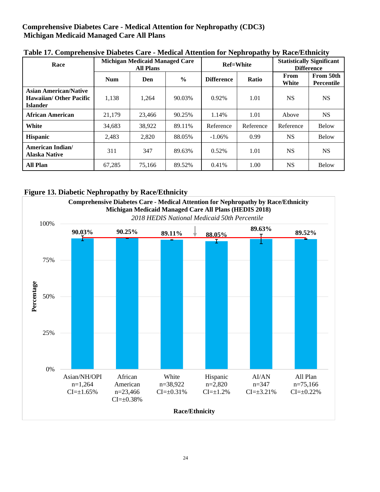## **Comprehensive Diabetes Care - Medical Attention for Nephropathy (CDC3) Michigan Medicaid Managed Care All Plans**

| Race                                                                              |            | <b>Michigan Medicaid Managed Care</b><br><b>All Plans</b> |               |                   | <b>Ref=White</b> | <b>Statistically Significant</b><br><b>Difference</b> |                         |  |  |  |  |
|-----------------------------------------------------------------------------------|------------|-----------------------------------------------------------|---------------|-------------------|------------------|-------------------------------------------------------|-------------------------|--|--|--|--|
|                                                                                   | <b>Num</b> | Den                                                       | $\frac{0}{0}$ | <b>Difference</b> | Ratio            | From<br>White                                         | From 50th<br>Percentile |  |  |  |  |
| <b>Asian American/Native</b><br><b>Hawaiian/ Other Pacific</b><br><b>Islander</b> | 1,138      | 1,264                                                     | 90.03%        | 0.92%             | 1.01             | NS.                                                   | <b>NS</b>               |  |  |  |  |
| <b>African American</b>                                                           | 21.179     | 23,466                                                    | 90.25%        | 1.14%             | 1.01             | Above                                                 | <b>NS</b>               |  |  |  |  |
| White                                                                             | 34,683     | 38,922                                                    | 89.11%        | Reference         | Reference        | Reference                                             | <b>Below</b>            |  |  |  |  |
| <b>Hispanic</b>                                                                   | 2,483      | 2.820                                                     | 88.05%        | $-1.06\%$         | 0.99             | <b>NS</b>                                             | <b>Below</b>            |  |  |  |  |
| <b>American Indian/</b><br><b>Alaska Native</b>                                   | 311        | 347                                                       | 89.63%        | 0.52%             | 1.01             | <b>NS</b>                                             | <b>NS</b>               |  |  |  |  |
| <b>All Plan</b>                                                                   | 67,285     | 75,166                                                    | 89.52%        | 0.41%             | 1.00             | <b>NS</b>                                             | <b>Below</b>            |  |  |  |  |

**Table 17. Comprehensive Diabetes Care - Medical Attention for Nephropathy by Race/Ethnicity**

## **Figure 13. Diabetic Nephropathy by Race/Ethnicity**

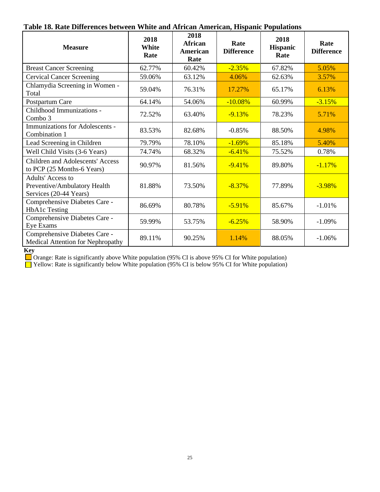## **Table 18. Rate Differences between White and African American, Hispanic Populations**

| <b>Measure</b>                                                              | 2018<br><b>White</b><br>Rate | 2018<br><b>African</b><br>American<br>Rate | Rate<br><b>Difference</b> | 2018<br><b>Hispanic</b><br>Rate | Rate<br><b>Difference</b> |
|-----------------------------------------------------------------------------|------------------------------|--------------------------------------------|---------------------------|---------------------------------|---------------------------|
| <b>Breast Cancer Screening</b>                                              | 62.77%                       | 60.42%                                     | $-2.35%$                  | 67.82%                          | 5.05%                     |
| <b>Cervical Cancer Screening</b>                                            | 59.06%                       | 63.12%                                     | 4.06%                     | 62.63%                          | 3.57%                     |
| Chlamydia Screening in Women -<br>Total                                     | 59.04%                       | 76.31%                                     | 17.27%                    | 65.17%                          | 6.13%                     |
| Postpartum Care                                                             | 64.14%                       | 54.06%                                     | $-10.08%$                 | 60.99%                          | $-3.15%$                  |
| Childhood Immunizations -<br>Combo 3                                        | 72.52%                       | 63.40%                                     | $-9.13%$                  | 78.23%                          | 5.71%                     |
| Immunizations for Adolescents -<br>Combination 1                            | 83.53%                       | 82.68%                                     | $-0.85%$                  | 88.50%                          | 4.98%                     |
| Lead Screening in Children                                                  | 79.79%                       | 78.10%                                     | $-1.69%$                  | 85.18%                          | 5.40%                     |
| Well Child Visits (3-6 Years)                                               | 74.74%                       | 68.32%                                     | $-6.41%$                  | 75.52%                          | 0.78%                     |
| <b>Children and Adolescents' Access</b><br>to PCP (25 Months-6 Years)       | 90.97%                       | 81.56%                                     | $-9.41%$                  | 89.80%                          | $-1.17%$                  |
| Adults' Access to<br>Preventive/Ambulatory Health<br>Services (20-44 Years) | 81.88%                       | 73.50%                                     | $-8.37%$                  | 77.89%                          | $-3.98%$                  |
| Comprehensive Diabetes Care -<br><b>HbA1c</b> Testing                       | 86.69%                       | 80.78%                                     | $-5.91%$                  | 85.67%                          | $-1.01%$                  |
| Comprehensive Diabetes Care -<br>Eye Exams                                  | 59.99%                       | 53.75%                                     | $-6.25%$                  | 58.90%                          | $-1.09%$                  |
| Comprehensive Diabetes Care -<br>Medical Attention for Nephropathy          | 89.11%                       | 90.25%                                     | 1.14%                     | 88.05%                          | $-1.06%$                  |

#### **Key**

Orange: Rate is significantly above White population (95% CI is above 95% CI for White population)

Yellow: Rate is significantly below White population (95% CI is below 95% CI for White population)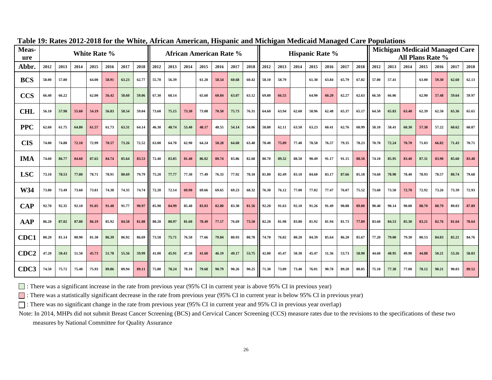| Meas-<br>ure     |       |       |       | White Rate % |       |       |       | <b>African American Rate %</b><br><b>Hispanic Rate %</b> |       |       |       |       |       |       |       | <b>Michigan Medicaid Managed Care</b><br>All Plans Rate % |       |       |       |       |       |       |       |       |       |       |       |       |
|------------------|-------|-------|-------|--------------|-------|-------|-------|----------------------------------------------------------|-------|-------|-------|-------|-------|-------|-------|-----------------------------------------------------------|-------|-------|-------|-------|-------|-------|-------|-------|-------|-------|-------|-------|
| Abbr.            | 2012  | 2013  | 2014  | 2015         | 2016  | 2017  | 2018  | 2012                                                     | 2013  | 2014  | 2015  | 2016  | 2017  | 2018  | 2012  | 2013                                                      | 2014  | 2015  | 2016  | 2017  | 2018  | 2012  | 2013  | 2014  | 2015  | 2016  | 2017  | 2018  |
| <b>BCS</b>       | 58.00 | 57.80 |       | 64.00        | 58.91 | 63.23 | 62.77 | 55.70                                                    | 56.39 |       | 61.20 | 58.54 | 60.68 | 60.42 | 58.10 | 58.79                                                     |       | 61.30 | 63.84 | 65.79 | 67.82 | 57.00 | 57.41 |       | 63.00 | 59.30 | 62.60 | 62.13 |
| <b>CCS</b>       | 66.40 | 66.22 |       | 62.00        | 56.42 | 58.60 | 59.06 | 67.30                                                    | 68.14 |       | 65.60 | 60.84 | 63.07 | 63.12 | 69.80 | 66.55                                                     |       | 64.90 | 60.20 | 62.27 | 62.63 | 66.50 | 66.06 |       | 62.90 | 57.48 | 59.64 | 59.97 |
| <b>CHL</b>       | 56.10 | 57.98 | 55.60 | 54.19        | 56.83 | 58.54 | 59.04 | 73.60                                                    | 75.15 | 73.30 | 73.08 | 70.50 | 75.73 | 76.31 | 64.60 | 63.94                                                     | 62.60 | 58.96 | 62.48 | 65.37 | 65.17 | 64.50 | 65.83 | 63.40 | 62.39 | 62.50 | 65.36 | 65.65 |
| <b>PPC</b>       | 62.60 | 61.75 | 64.80 | 61.57        | 61.73 | 63.31 | 64.14 | 46.30                                                    | 48.74 | 53.40 | 48.17 | 48.55 | 54.14 | 54.06 | 58.80 | 62.11                                                     | 63.50 | 63.23 | 60.41 | 62.76 | 60.99 | 58.10 | 58.41 | 60.30 | 57.38 | 57.22 | 60.62 | 60.87 |
| <b>CIS</b>       | 74.00 | 74.88 | 72.10 | 72.99        | 70.57 | 73.26 | 72.52 | 63.00                                                    | 64.70 | 62.90 | 64.24 | 58.28 | 64.60 | 63.40 | 78.40 | 75.09                                                     | 77.40 | 78.58 | 76.57 | 79.35 | 78.23 | 70.70 | 72.24 | 70.70 | 71.03 | 66.82 | 71.43 | 70.71 |
| <b>IMA</b>       | 74.60 | 86.77 | 84.60 | 87.65        | 84.74 | 85.64 | 83.53 | 72.40                                                    | 83.85 | 81.40 | 86.02 | 80.74 | 83.86 | 82.68 | 80.70 | 89.32                                                     | 88.50 | 90.49 | 91.17 | 91.15 | 88.50 | 74.10 | 85.95 | 83.40 | 87.31 | 83.90 | 85.60 | 83.48 |
| <b>LSC</b>       | 73.10 | 78.53 | 77.80 | 78.71        | 78.91 | 80.69 | 79.79 | 75.20                                                    | 77.77 | 77.30 | 77.49 | 76.33 | 77.92 | 78.10 | 81.80 | 82.49                                                     | 83.10 | 84.60 | 83.17 | 87.66 | 85.18 | 74.60 | 78.90 | 78.40 | 78.93 | 78.57 | 80.74 | 79.68 |
| W34              | 73.80 | 73.49 | 73.60 | 73.81        | 74.38 | 74.35 | 74.74 | 72.20                                                    | 72.14 | 69.90 | 69.66 | 69.65 | 69.23 | 68.32 | 76.30 | 76.12                                                     | 77.00 | 77.02 | 77.47 | 76.07 | 75.52 | 73.60 | 73.50 | 72.70 | 72.92 | 73.26 | 73.39 | 72.93 |
| <b>CAP</b>       | 92.70 | 92.35 | 92.10 | 91.05        | 91.48 | 91.77 | 90.97 | 85.90                                                    | 84.99 | 85.40 | 83.03 | 82.80 | 83.30 | 81.56 | 92.20 | 91.63                                                     | 92.10 | 91.26 | 91.49 | 90.88 | 89.80 | 90.40 | 90.14 | 90.00 | 88.70 | 88.79 | 89.03 | 87.89 |
| <b>AAP</b>       | 86.20 | 87.02 | 87.80 | 86.19        | 85.92 | 84.58 | 81.88 | 80.20                                                    | 80.97 | 81.60 | 78.49 | 77.17 | 76.69 | 73.50 | 82.20 | 81.98                                                     | 83.80 | 81.92 | 81.94 | 81.73 | 77.89 | 83.60 | 84.53 | 85.30 | 83.21 | 82.76 | 81.64 | 78.64 |
| CDC1             | 80.20 | 81.14 | 80.90 | 81.30        | 86.39 | 86.92 | 86.69 | 73.50                                                    | 75.71 | 76.50 | 77.66 | 79.84 | 80.93 | 80.78 | 74.70 | 76.02                                                     | 80.20 | 84.39 | 85.64 | 86.20 | 85.67 | 77.20 | 79.00 | 79.30 | 80.53 | 84.03 | 85.21 | 84.76 |
| CDC <sub>2</sub> | 47.20 | 50.43 | 51.50 | 45.73        | 51.78 | 55.56 | 59.99 | 41.00                                                    | 45.91 | 47.30 | 41.60 | 46.19 | 49.17 | 53.75 | 42.00 | 45.47                                                     | 50.30 | 45.47 | 51.36 | 53.73 | 58.90 | 44.60 | 48.95 | 49.90 | 44.88 | 50.21 | 53.26 | 58.03 |
| CDC3             | 74.50 | 75.72 | 75.40 | 75.93        | 89.86 | 89.94 | 89.11 | 75.80                                                    | 78.24 | 78.10 | 79.68 | 90.79 | 90.26 | 90.25 | 71.30 | 73.09                                                     | 73.40 | 76.01 | 90.78 | 89.20 | 88.05 | 75.10 | 77.38 | 77.00 | 78.12 | 90.21 | 90.03 | 89.52 |

#### **Table 19: Rates 2012-2018 for the White, African American, Hispanic and Michigan Medicaid Managed Care Populations**

■ : There was a significant increase in the rate from previous year (95% CI in current year is above 95% CI in previous year)

■ : There was a statistically significant decrease in the rate from previous year (95% CI in current year is below 95% CI in previous year)

 $\Box$ : There was no significant change in the rate from previous year (95% CI in current year and 95% CI in previous year overlap)

Note: In 2014, MHPs did not submit Breast Cancer Screening (BCS) and Cervical Cancer Screening (CCS) measure rates due to the revisions to the specifications of these two

measures by National Committee for Quality Assurance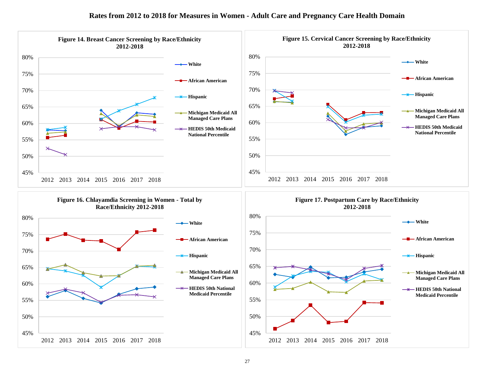

#### **Rates from 2012 to 2018 for Measures in Women - Adult Care and Pregnancy Care Health Domain**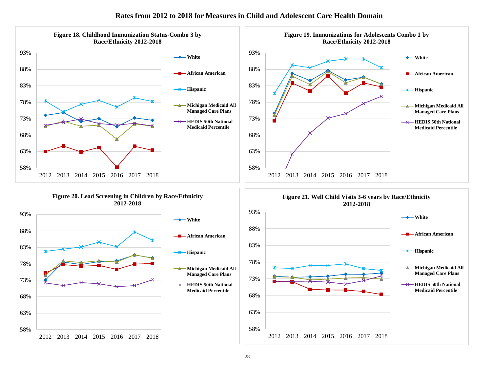#### **Rates from 2012 to 2018 for Measures in Child and Adolescent Care Health Domain**

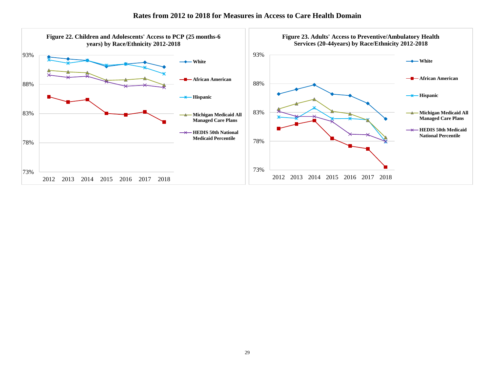

#### **Rates from 2012 to 2018 for Measures in Access to Care Health Domain**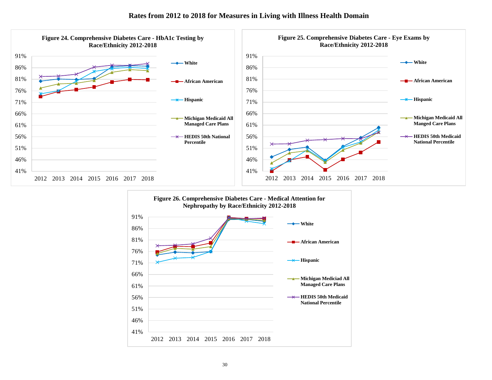

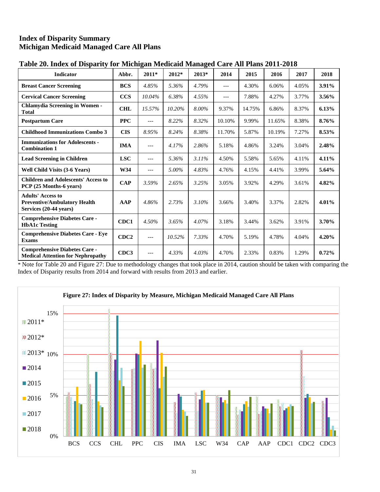## **Index of Disparity Summary Michigan Medicaid Managed Care All Plans**

| <b>Indicator</b>                                                                          | Abbr.            | $2011*$ | 2012*  | 2013* | 2014   | 2015   | 2016   | 2017  | 2018     |
|-------------------------------------------------------------------------------------------|------------------|---------|--------|-------|--------|--------|--------|-------|----------|
| <b>Breast Cancer Screening</b>                                                            | <b>BCS</b>       | 4.85%   | 5.36%  | 4.79% | $---$  | 4.30%  | 6.06%  | 4.05% | 3.91%    |
| <b>Cervical Cancer Screening</b>                                                          | <b>CCS</b>       | 10.04%  | 6.38%  | 4.55% | $---$  | 7.88%  | 4.27%  | 3.77% | $3.56\%$ |
| <b>Chlamydia Screening in Women -</b><br>Total                                            | <b>CHL</b>       | 15.57%  | 10.20% | 8.00% | 9.37%  | 14.75% | 6.86%  | 8.37% | 6.13%    |
| <b>Postpartum Care</b>                                                                    | <b>PPC</b>       | $---$   | 8.22%  | 8.32% | 10.10% | 9.99%  | 11.65% | 8.38% | 8.76%    |
| <b>Childhood Immunizations Combo 3</b>                                                    | <b>CIS</b>       | 8.95%   | 8.24%  | 8.38% | 11.70% | 5.87%  | 10.19% | 7.27% | 8.53%    |
| <b>Immunizations for Adolescents -</b><br><b>Combination 1</b>                            | <b>IMA</b>       | $---$   | 4.17%  | 2.86% | 5.18%  | 4.86%  | 3.24%  | 3.04% | 2.48%    |
| <b>Lead Screening in Children</b>                                                         | <b>LSC</b>       | $---$   | 5.36%  | 3.11% | 4.50%  | 5.58%  | 5.65%  | 4.11% | 4.11%    |
| <b>Well Child Visits (3-6 Years)</b>                                                      | W34              | $---$   | 5.00%  | 4.83% | 4.76%  | 4.15%  | 4.41%  | 3.99% | 5.64%    |
| <b>Children and Adolescents' Access to</b><br>PCP (25 Months-6 years)                     | <b>CAP</b>       | 3.59%   | 2.65%  | 3.25% | 3.05%  | 3.92%  | 4.29%  | 3.61% | 4.82%    |
| <b>Adults' Access to</b><br><b>Preventive/Ambulatory Health</b><br>Services (20-44 years) | AAP              | 4.86%   | 2.73%  | 3.10% | 3.66%  | 3.40%  | 3.37%  | 2.82% | 4.01%    |
| <b>Comprehensive Diabetes Care -</b><br><b>HbA1c Testing</b>                              | CDC1             | 4.50%   | 3.65%  | 4.07% | 3.18%  | 3.44%  | 3.62%  | 3.91% | 3.70%    |
| <b>Comprehensive Diabetes Care - Eve</b><br><b>Exams</b>                                  | CDC <sub>2</sub> | $---$   | 10.52% | 7.33% | 4.70%  | 5.19%  | 4.78%  | 4.04% | 4.20%    |
| <b>Comprehensive Diabetes Care -</b><br><b>Medical Attention for Nephropathy</b>          | CDC3             | $---$   | 4.33%  | 4.03% | 4.70%  | 2.33%  | 0.83%  | 1.29% | 0.72%    |

## **Table 20. Index of Disparity for Michigan Medicaid Managed Care All Plans 2011-2018**

\* Note for Table 20 and Figure 27: Due to methodology changes that took place in 2014, caution should be taken with comparing the Index of Disparity results from 2014 and forward with results from 2013 and earlier.

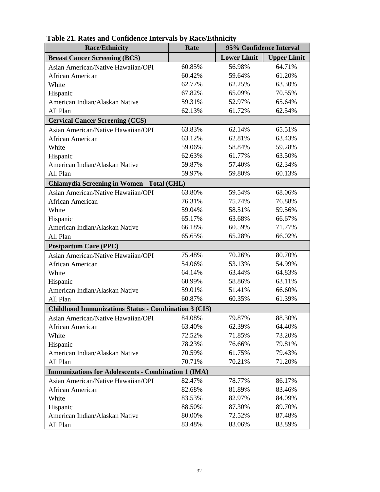| <b>Race/Ethnicity</b>                                       | Rate   | 95% Confidence Interval |                    |  |  |  |  |  |  |
|-------------------------------------------------------------|--------|-------------------------|--------------------|--|--|--|--|--|--|
| <b>Breast Cancer Screening (BCS)</b>                        |        | <b>Lower Limit</b>      | <b>Upper Limit</b> |  |  |  |  |  |  |
| Asian American/Native Hawaiian/OPI                          | 60.85% | 56.98%                  | 64.71%             |  |  |  |  |  |  |
| African American                                            | 60.42% | 59.64%                  | 61.20%             |  |  |  |  |  |  |
| White                                                       | 62.77% | 62.25%                  | 63.30%             |  |  |  |  |  |  |
| Hispanic                                                    | 67.82% | 65.09%                  | 70.55%             |  |  |  |  |  |  |
| American Indian/Alaskan Native                              | 59.31% | 52.97%                  | 65.64%             |  |  |  |  |  |  |
| All Plan                                                    | 62.13% | 61.72%                  | 62.54%             |  |  |  |  |  |  |
| <b>Cervical Cancer Screening (CCS)</b>                      |        |                         |                    |  |  |  |  |  |  |
| Asian American/Native Hawaiian/OPI                          | 63.83% | 62.14%                  | 65.51%             |  |  |  |  |  |  |
| African American                                            | 63.12% | 62.81%                  | 63.43%             |  |  |  |  |  |  |
| White                                                       | 59.06% | 58.84%                  | 59.28%             |  |  |  |  |  |  |
| Hispanic                                                    | 62.63% | 61.77%                  | 63.50%             |  |  |  |  |  |  |
| American Indian/Alaskan Native                              | 59.87% | 57.40%                  | 62.34%             |  |  |  |  |  |  |
| All Plan                                                    | 59.97% | 59.80%                  | 60.13%             |  |  |  |  |  |  |
| <b>Chlamydia Screening in Women - Total (CHL)</b>           |        |                         |                    |  |  |  |  |  |  |
| Asian American/Native Hawaiian/OPI                          | 63.80% | 59.54%                  | 68.06%             |  |  |  |  |  |  |
| African American                                            | 76.31% | 75.74%                  | 76.88%             |  |  |  |  |  |  |
| White                                                       | 59.04% | 58.51%                  | 59.56%             |  |  |  |  |  |  |
| Hispanic                                                    | 65.17% | 63.68%                  | 66.67%             |  |  |  |  |  |  |
| American Indian/Alaskan Native                              | 66.18% | 60.59%                  | 71.77%             |  |  |  |  |  |  |
| All Plan                                                    | 65.65% | 65.28%                  | 66.02%             |  |  |  |  |  |  |
| <b>Postpartum Care (PPC)</b>                                |        |                         |                    |  |  |  |  |  |  |
| Asian American/Native Hawaiian/OPI                          | 75.48% | 70.26%                  | 80.70%             |  |  |  |  |  |  |
| African American                                            | 54.06% | 53.13%                  | 54.99%             |  |  |  |  |  |  |
| White                                                       | 64.14% | 63.44%                  | 64.83%             |  |  |  |  |  |  |
| Hispanic                                                    | 60.99% | 58.86%                  | 63.11%             |  |  |  |  |  |  |
| American Indian/Alaskan Native                              | 59.01% | 51.41%                  | 66.60%             |  |  |  |  |  |  |
| All Plan                                                    | 60.87% | 60.35%                  | 61.39%             |  |  |  |  |  |  |
| <b>Childhood Immunizations Status - Combination 3 (CIS)</b> |        |                         |                    |  |  |  |  |  |  |
| Asian American/Native Hawaiian/OPI                          | 84.08% | 79.87%                  | 88.30%             |  |  |  |  |  |  |
| African American                                            | 63.40% | 62.39%                  | 64.40%             |  |  |  |  |  |  |
| White                                                       | 72.52% | 71.85%                  | 73.20%             |  |  |  |  |  |  |
| Hispanic                                                    | 78.23% | 76.66%                  | 79.81%             |  |  |  |  |  |  |
| American Indian/Alaskan Native                              | 70.59% | 61.75%                  | 79.43%             |  |  |  |  |  |  |
| All Plan                                                    | 70.71% | 70.21%                  | 71.20%             |  |  |  |  |  |  |
| <b>Immunizations for Adolescents - Combination 1 (IMA)</b>  |        |                         |                    |  |  |  |  |  |  |
| Asian American/Native Hawaiian/OPI                          | 82.47% | 78.77%                  | 86.17%             |  |  |  |  |  |  |
| African American                                            | 82.68% | 81.89%                  | 83.46%             |  |  |  |  |  |  |
| White                                                       | 83.53% | 82.97%                  | 84.09%             |  |  |  |  |  |  |
| Hispanic                                                    | 88.50% | 87.30%                  | 89.70%             |  |  |  |  |  |  |
| American Indian/Alaskan Native                              | 80.00% | 72.52%                  | 87.48%             |  |  |  |  |  |  |
| All Plan                                                    | 83.48% | 83.06%                  | 83.89%             |  |  |  |  |  |  |

| Table 21. Rates and Confidence Intervals by Race/Ethnicity |
|------------------------------------------------------------|
|------------------------------------------------------------|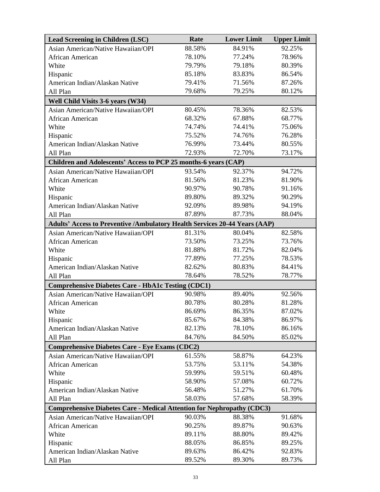| <b>Lead Screening in Children (LSC)</b>                                           | Rate   | <b>Lower Limit</b> | <b>Upper Limit</b> |
|-----------------------------------------------------------------------------------|--------|--------------------|--------------------|
| Asian American/Native Hawaiian/OPI                                                | 88.58% | 84.91%             | 92.25%             |
| African American                                                                  | 78.10% | 77.24%             | 78.96%             |
| White                                                                             | 79.79% | 79.18%             | 80.39%             |
| Hispanic                                                                          | 85.18% | 83.83%             | 86.54%             |
| American Indian/Alaskan Native                                                    | 79.41% | 71.56%             | 87.26%             |
| All Plan                                                                          | 79.68% | 79.25%             | 80.12%             |
| Well Child Visits 3-6 years (W34)                                                 |        |                    |                    |
| Asian American/Native Hawaiian/OPI                                                | 80.45% | 78.36%             | 82.53%             |
| African American                                                                  | 68.32% | 67.88%             | 68.77%             |
| White                                                                             | 74.74% | 74.41%             | 75.06%             |
| Hispanic                                                                          | 75.52% | 74.76%             | 76.28%             |
| American Indian/Alaskan Native                                                    | 76.99% | 73.44%             | 80.55%             |
| All Plan                                                                          | 72.93% | 72.70%             | 73.17%             |
| Children and Adolescents' Access to PCP 25 months-6 years (CAP)                   |        |                    |                    |
| Asian American/Native Hawaiian/OPI                                                | 93.54% | 92.37%             | 94.72%             |
| African American                                                                  | 81.56% | 81.23%             | 81.90%             |
| White                                                                             | 90.97% | 90.78%             | 91.16%             |
| Hispanic                                                                          | 89.80% | 89.32%             | 90.29%             |
| American Indian/Alaskan Native                                                    | 92.09% | 89.98%             | 94.19%             |
| All Plan                                                                          | 87.89% | 87.73%             | 88.04%             |
| <b>Adults' Access to Preventive /Ambulatory Health Services 20-44 Years (AAP)</b> |        |                    |                    |
| Asian American/Native Hawaiian/OPI                                                | 81.31% | 80.04%             | 82.58%             |
| African American                                                                  | 73.50% | 73.25%             | 73.76%             |
| White                                                                             | 81.88% | 81.72%             | 82.04%             |
| Hispanic                                                                          | 77.89% | 77.25%             | 78.53%             |
| American Indian/Alaskan Native                                                    | 82.62% | 80.83%             | 84.41%             |
| All Plan                                                                          | 78.64% | 78.52%             | 78.77%             |
| <b>Comprehensive Diabetes Care - HbA1c Testing (CDC1)</b>                         |        |                    |                    |
| Asian American/Native Hawaiian/OPI                                                | 90.98% | 89.40%             | 92.56%             |
| African American                                                                  | 80.78% | 80.28%             | 81.28%             |
| White                                                                             | 86.69% | 86.35%             | 87.02%             |
| Hispanic                                                                          | 85.67% | 84.38%             | 86.97%             |
| American Indian/Alaskan Native                                                    | 82.13% | 78.10%             | 86.16%             |
| All Plan                                                                          | 84.76% | 84.50%             | 85.02%             |
| <b>Comprehensive Diabetes Care - Eye Exams (CDC2)</b>                             |        |                    |                    |
| Asian American/Native Hawaiian/OPI                                                | 61.55% | 58.87%             | 64.23%             |
| African American                                                                  | 53.75% | 53.11%             | 54.38%             |
| White                                                                             | 59.99% | 59.51%             | 60.48%             |
| Hispanic                                                                          | 58.90% | 57.08%             | 60.72%             |
| American Indian/Alaskan Native                                                    | 56.48% | 51.27%             | 61.70%             |
| All Plan                                                                          | 58.03% | 57.68%             | 58.39%             |
| <b>Comprehensive Diabetes Care - Medical Attention for Nephropathy (CDC3)</b>     |        |                    |                    |
| Asian American/Native Hawaiian/OPI                                                | 90.03% | 88.38%             | 91.68%             |
| African American                                                                  | 90.25% | 89.87%             | 90.63%             |
| White                                                                             | 89.11% | 88.80%             | 89.42%             |
| Hispanic                                                                          | 88.05% | 86.85%             | 89.25%             |
| American Indian/Alaskan Native                                                    | 89.63% | 86.42%             | 92.83%             |
| All Plan                                                                          | 89.52% | 89.30%             | 89.73%             |
|                                                                                   |        |                    |                    |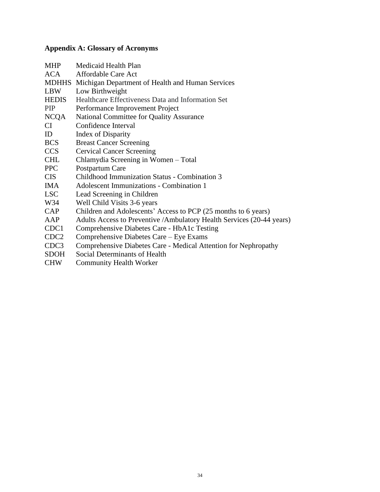## **Appendix A: Glossary of Acronyms**

| <b>MHP</b>       | Medicaid Health Plan                                                   |
|------------------|------------------------------------------------------------------------|
| ACA              | Affordable Care Act                                                    |
|                  | MDHHS Michigan Department of Health and Human Services                 |
| LBW              | Low Birthweight                                                        |
| <b>HEDIS</b>     | Healthcare Effectiveness Data and Information Set                      |
| PIP              | Performance Improvement Project                                        |
| NCQA             | National Committee for Quality Assurance                               |
| CI               | Confidence Interval                                                    |
| ID               | Index of Disparity                                                     |
| <b>BCS</b>       | <b>Breast Cancer Screening</b>                                         |
| CCS              | <b>Cervical Cancer Screening</b>                                       |
| CHL              | Chlamydia Screening in Women - Total                                   |
| <b>PPC</b>       | Postpartum Care                                                        |
| <b>CIS</b>       | Childhood Immunization Status - Combination 3                          |
| IMA.             | <b>Adolescent Immunizations - Combination 1</b>                        |
| LSC              | Lead Screening in Children                                             |
| W34              | Well Child Visits 3-6 years                                            |
| <b>CAP</b>       | Children and Adolescents' Access to PCP (25 months to 6 years)         |
| AAP              | Adults Access to Preventive / Ambulatory Health Services (20-44 years) |
| CDC1             | Comprehensive Diabetes Care - HbA1c Testing                            |
| CDC <sub>2</sub> | Comprehensive Diabetes Care - Eye Exams                                |
| CDC <sub>3</sub> | Comprehensive Diabetes Care - Medical Attention for Nephropathy        |
| <b>SDOH</b>      | Social Determinants of Health                                          |
| <b>CHW</b>       | <b>Community Health Worker</b>                                         |